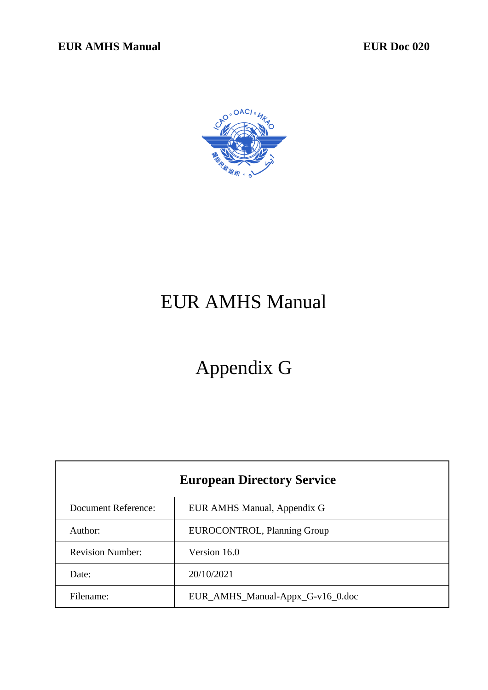

# EUR AMHS Manual

# Appendix G

| <b>European Directory Service</b> |                                  |
|-----------------------------------|----------------------------------|
| <b>Document Reference:</b>        | EUR AMHS Manual, Appendix G      |
| Author:                           | EUROCONTROL, Planning Group      |
| <b>Revision Number:</b>           | Version 16.0                     |
| Date:                             | 20/10/2021                       |
| Filename:                         | EUR_AMHS_Manual-Appx_G-v16_0.doc |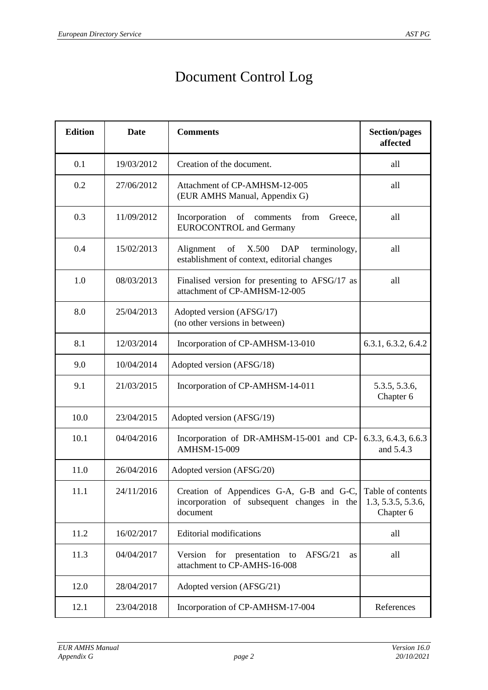## Document Control Log

| <b>Edition</b> | Date       | <b>Comments</b>                                                                                       | <b>Section/pages</b><br>affected                     |
|----------------|------------|-------------------------------------------------------------------------------------------------------|------------------------------------------------------|
| 0.1            | 19/03/2012 | Creation of the document.                                                                             | all                                                  |
| 0.2            | 27/06/2012 | Attachment of CP-AMHSM-12-005<br>(EUR AMHS Manual, Appendix G)                                        | all                                                  |
| 0.3            | 11/09/2012 | Incorporation of comments<br>from<br>Greece,<br><b>EUROCONTROL</b> and Germany                        | all                                                  |
| 0.4            | 15/02/2013 | of<br>X.500<br><b>DAP</b><br>Alignment<br>terminology,<br>establishment of context, editorial changes | all                                                  |
| 1.0            | 08/03/2013 | Finalised version for presenting to AFSG/17 as<br>attachment of CP-AMHSM-12-005                       | all                                                  |
| 8.0            | 25/04/2013 | Adopted version (AFSG/17)<br>(no other versions in between)                                           |                                                      |
| 8.1            | 12/03/2014 | Incorporation of CP-AMHSM-13-010                                                                      | 6.3.1, 6.3.2, 6.4.2                                  |
| 9.0            | 10/04/2014 | Adopted version (AFSG/18)                                                                             |                                                      |
| 9.1            | 21/03/2015 | Incorporation of CP-AMHSM-14-011                                                                      | 5.3.5, 5.3.6,<br>Chapter 6                           |
| 10.0           | 23/04/2015 | Adopted version (AFSG/19)                                                                             |                                                      |
| 10.1           | 04/04/2016 | Incorporation of DR-AMHSM-15-001 and CP-<br><b>AMHSM-15-009</b>                                       | 6.3.3, 6.4.3, 6.6.3<br>and 5.4.3                     |
| 11.0           | 26/04/2016 | Adopted version (AFSG/20)                                                                             |                                                      |
| 11.1           | 24/11/2016 | Creation of Appendices G-A, G-B and G-C,<br>incorporation of subsequent changes in the<br>document    | Table of contents<br>1.3, 5.3.5, 5.3.6,<br>Chapter 6 |
| 11.2           | 16/02/2017 | <b>Editorial modifications</b>                                                                        | all                                                  |
| 11.3           | 04/04/2017 | for presentation<br>AFSG/21<br>Version<br>to<br>as<br>attachment to CP-AMHS-16-008                    | all                                                  |
| 12.0           | 28/04/2017 | Adopted version (AFSG/21)                                                                             |                                                      |
| 12.1           | 23/04/2018 | Incorporation of CP-AMHSM-17-004                                                                      | References                                           |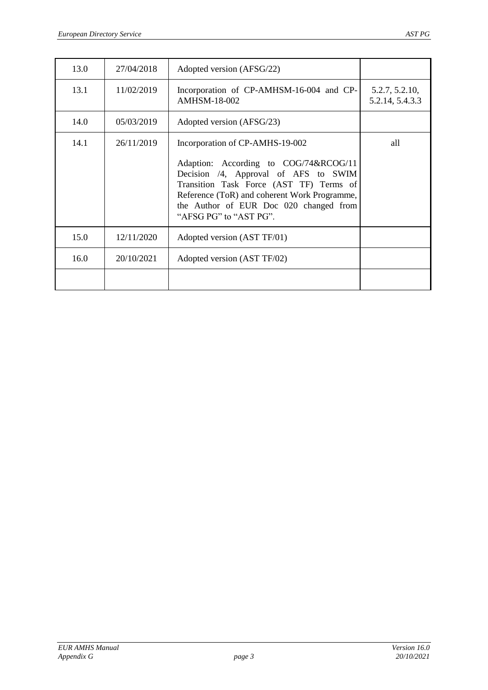| 13.0 | 27/04/2018 | Adopted version (AFSG/22)                                                                                                                                                                                                                                                       |                                   |
|------|------------|---------------------------------------------------------------------------------------------------------------------------------------------------------------------------------------------------------------------------------------------------------------------------------|-----------------------------------|
| 13.1 | 11/02/2019 | Incorporation of CP-AMHSM-16-004 and CP-<br><b>AMHSM-18-002</b>                                                                                                                                                                                                                 | 5.2.7, 5.2.10,<br>5.2.14, 5.4.3.3 |
| 14.0 | 05/03/2019 | Adopted version (AFSG/23)                                                                                                                                                                                                                                                       |                                   |
| 14.1 | 26/11/2019 | Incorporation of CP-AMHS-19-002<br>Adaption: According to COG/74&RCOG/11<br>Decision /4, Approval of AFS to SWIM<br>Transition Task Force (AST TF) Terms of<br>Reference (ToR) and coherent Work Programme,<br>the Author of EUR Doc 020 changed from<br>"AFSG PG" to "AST PG". | all                               |
| 15.0 | 12/11/2020 | Adopted version (AST TF/01)                                                                                                                                                                                                                                                     |                                   |
| 16.0 | 20/10/2021 | Adopted version (AST TF/02)                                                                                                                                                                                                                                                     |                                   |
|      |            |                                                                                                                                                                                                                                                                                 |                                   |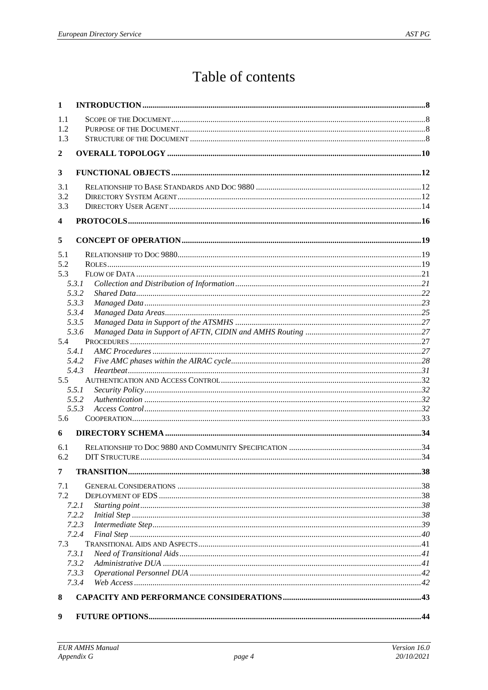## Table of contents

| 1   |       |  |
|-----|-------|--|
| 1.1 |       |  |
| 1.2 |       |  |
| 1.3 |       |  |
| 2   |       |  |
|     |       |  |
| 3   |       |  |
| 3.1 |       |  |
| 3.2 |       |  |
| 3.3 |       |  |
| 4   |       |  |
| 5   |       |  |
| 5.1 |       |  |
| 5.2 |       |  |
| 5.3 |       |  |
|     | 5.3.1 |  |
|     | 5.3.2 |  |
|     | 5.3.3 |  |
|     | 5.3.4 |  |
|     | 5.3.5 |  |
|     | 5.3.6 |  |
| 5.4 |       |  |
|     | 5.4.1 |  |
|     | 5.4.2 |  |
|     | 5.4.3 |  |
| 5.5 | 5.5.1 |  |
|     | 5.5.2 |  |
|     | 5.5.3 |  |
| 5.6 |       |  |
|     |       |  |
| 6   |       |  |
| 6.1 |       |  |
| 6.2 |       |  |
| 7   |       |  |
| 7.1 |       |  |
| 7.2 |       |  |
|     | 7.2.1 |  |
|     | 7.2.2 |  |
|     | 7.2.3 |  |
|     | 7.2.4 |  |
| 7.3 | 7.3.1 |  |
|     | 7.3.2 |  |
|     | 7.3.3 |  |
|     | 7.3.4 |  |
| 8   |       |  |
|     |       |  |
| 9   |       |  |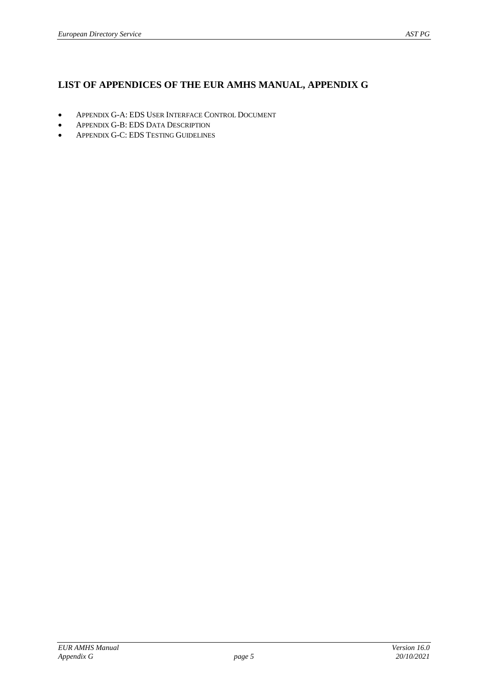## **LIST OF APPENDICES OF THE EUR AMHS MANUAL, APPENDIX G**

- APPENDIX G-A: EDS USER INTERFACE CONTROL DOCUMENT
- APPENDIX G-B: EDS DATA DESCRIPTION
- APPENDIX G-C: EDS TESTING GUIDELINES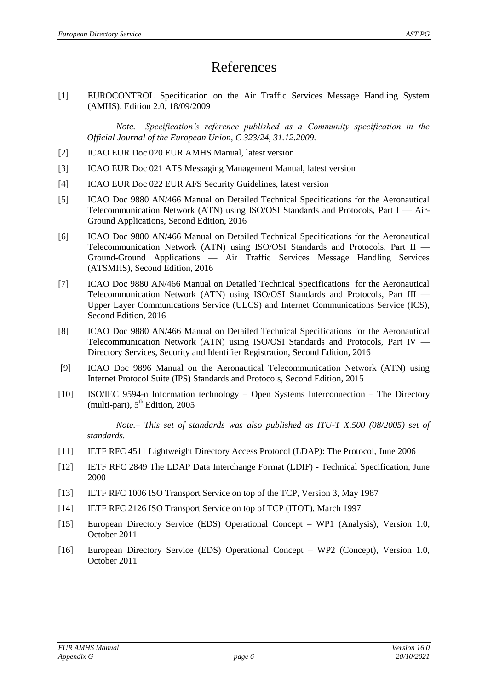## References

<span id="page-5-1"></span>[1] EUROCONTROL Specification on the Air Traffic Services Message Handling System (AMHS), Edition 2.0, 18/09/2009

*Note.– Specification's reference published as a Community specification in the Official Journal of the European Union, C 323/24, 31.12.2009.*

- <span id="page-5-2"></span>[2] ICAO EUR Doc 020 EUR AMHS Manual, latest version
- <span id="page-5-5"></span>[3] ICAO EUR Doc 021 ATS Messaging Management Manual, latest version
- [4] ICAO EUR Doc 022 EUR AFS Security Guidelines, latest version
- <span id="page-5-13"></span>[5] ICAO Doc 9880 AN/466 Manual on Detailed Technical Specifications for the Aeronautical Telecommunication Network (ATN) using ISO/OSI Standards and Protocols, Part I — Air-Ground Applications, Second Edition, 2016
- <span id="page-5-11"></span>[6] ICAO Doc 9880 AN/466 Manual on Detailed Technical Specifications for the Aeronautical Telecommunication Network (ATN) using ISO/OSI Standards and Protocols, Part II — Ground-Ground Applications — Air Traffic Services Message Handling Services (ATSMHS), Second Edition, 2016
- [7] ICAO Doc 9880 AN/466 Manual on Detailed Technical Specifications for the Aeronautical Telecommunication Network (ATN) using ISO/OSI Standards and Protocols, Part III — Upper Layer Communications Service (ULCS) and Internet Communications Service (ICS), Second Edition, 2016
- <span id="page-5-3"></span>[8] ICAO Doc 9880 AN/466 Manual on Detailed Technical Specifications for the Aeronautical Telecommunication Network (ATN) using ISO/OSI Standards and Protocols, Part IV — Directory Services, Security and Identifier Registration, Second Edition, 2016
- <span id="page-5-10"></span>[9] ICAO Doc 9896 Manual on the Aeronautical Telecommunication Network (ATN) using Internet Protocol Suite (IPS) Standards and Protocols, Second Edition, 2015
- <span id="page-5-4"></span>[10] ISO/IEC 9594-n Information technology – Open Systems Interconnection – The Directory (multi-part),  $5<sup>th</sup>$  Edition, 2005

*Note.– This set of standards was also published as ITU-T X.500 (08/2005) set of standards.*

- <span id="page-5-7"></span>[11] IETF RFC 4511 Lightweight Directory Access Protocol (LDAP): The Protocol, June 2006
- <span id="page-5-12"></span>[12] IETF RFC 2849 The LDAP Data Interchange Format (LDIF) - Technical Specification, June 2000
- <span id="page-5-8"></span>[13] IETF RFC 1006 ISO Transport Service on top of the TCP, Version 3, May 1987
- <span id="page-5-9"></span>[14] IETF RFC 2126 ISO Transport Service on top of TCP (ITOT), March 1997
- <span id="page-5-6"></span>[15] European Directory Service (EDS) Operational Concept – WP1 (Analysis), Version 1.0, October 2011
- <span id="page-5-0"></span>[16] European Directory Service (EDS) Operational Concept – WP2 (Concept), Version 1.0, October 2011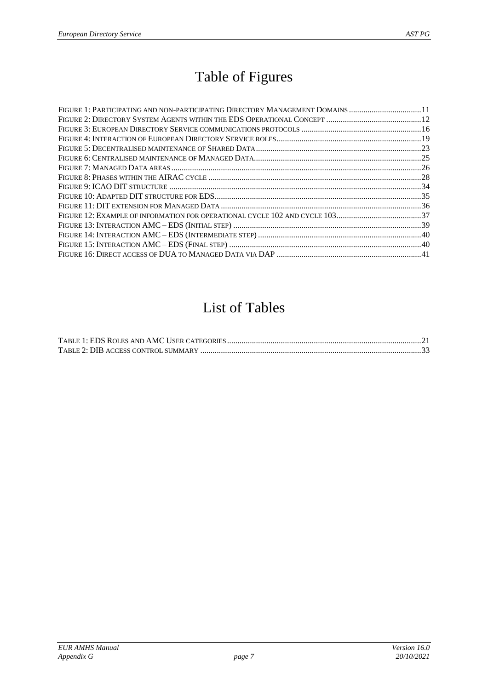## Table of Figures

| FIGURE 1: PARTICIPATING AND NON-PARTICIPATING DIRECTORY MANAGEMENT DOMAINS 11 |  |
|-------------------------------------------------------------------------------|--|
|                                                                               |  |
|                                                                               |  |
|                                                                               |  |
|                                                                               |  |
|                                                                               |  |
|                                                                               |  |
|                                                                               |  |
|                                                                               |  |
|                                                                               |  |
|                                                                               |  |
|                                                                               |  |
|                                                                               |  |
|                                                                               |  |
|                                                                               |  |
|                                                                               |  |

## List of Tables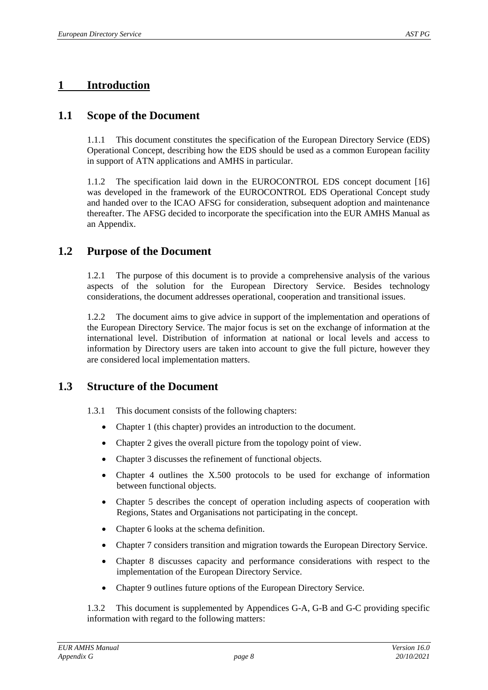## <span id="page-7-0"></span>**1 Introduction**

## <span id="page-7-1"></span>**1.1 Scope of the Document**

1.1.1 This document constitutes the specification of the European Directory Service (EDS) Operational Concept, describing how the EDS should be used as a common European facility in support of ATN applications and AMHS in particular.

The specification laid down in the EUROCONTROL EDS concept document [\[16\]](#page-5-0) was developed in the framework of the EUROCONTROL EDS Operational Concept study and handed over to the ICAO AFSG for consideration, subsequent adoption and maintenance thereafter. The AFSG decided to incorporate the specification into the EUR AMHS Manual as an Appendix.

## <span id="page-7-2"></span>**1.2 Purpose of the Document**

1.2.1 The purpose of this document is to provide a comprehensive analysis of the various aspects of the solution for the European Directory Service. Besides technology considerations, the document addresses operational, cooperation and transitional issues.

1.2.2 The document aims to give advice in support of the implementation and operations of the European Directory Service. The major focus is set on the exchange of information at the international level. Distribution of information at national or local levels and access to information by Directory users are taken into account to give the full picture, however they are considered local implementation matters.

## <span id="page-7-3"></span>**1.3 Structure of the Document**

- 1.3.1 This document consists of the following chapters:
	- Chapter [1](#page-7-0) (this chapter) provides an introduction to the document.
	- Chapter [2](#page-9-0) gives the overall picture from the topology point of view.
	- Chapter [3](#page-11-0) discusses the refinement of functional objects.
	- Chapter [4](#page-15-0) outlines the X.500 protocols to be used for exchange of information between functional objects.
	- Chapter [5](#page-18-0) describes the concept of operation including aspects of cooperation with Regions, States and Organisations not participating in the concept.
	- Chapter [6](#page-33-0) looks at the schema definition.
	- Chapter [7](#page-37-0) considers transition and migration towards the European Directory Service.
	- Chapter [8](#page-42-0) discusses capacity and performance considerations with respect to the implementation of the European Directory Service.
	- Chapter [9](#page-43-0) outlines future options of the European Directory Service.

1.3.2 This document is supplemented by Appendices G-A, G-B and G-C providing specific information with regard to the following matters: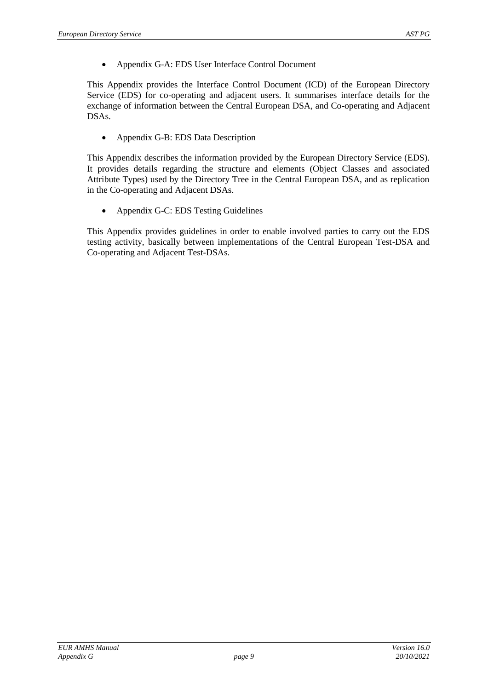Appendix G-A: EDS User Interface Control Document

This Appendix provides the Interface Control Document (ICD) of the European Directory Service (EDS) for co-operating and adjacent users. It summarises interface details for the exchange of information between the Central European DSA, and Co-operating and Adjacent DSAs.

• Appendix G-B: EDS Data Description

This Appendix describes the information provided by the European Directory Service (EDS). It provides details regarding the structure and elements (Object Classes and associated Attribute Types) used by the Directory Tree in the Central European DSA, and as replication in the Co-operating and Adjacent DSAs.

• Appendix G-C: EDS Testing Guidelines

This Appendix provides guidelines in order to enable involved parties to carry out the EDS testing activity, basically between implementations of the Central European Test-DSA and Co-operating and Adjacent Test-DSAs.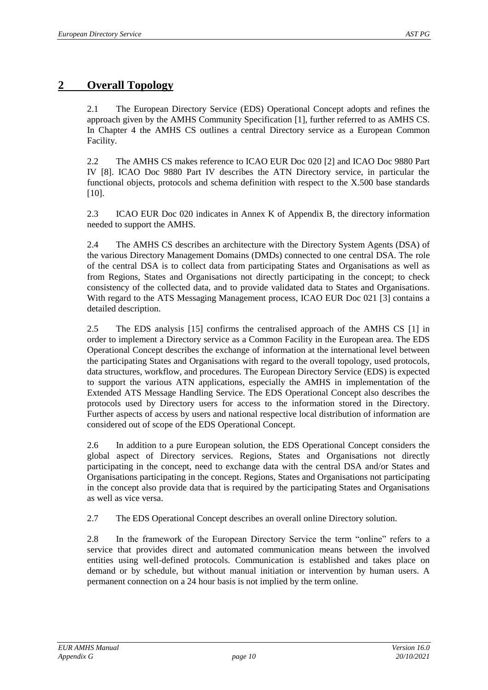## <span id="page-9-0"></span>**2 Overall Topology**

2.1 The European Directory Service (EDS) Operational Concept adopts and refines the approach given by the AMHS Community Specification [\[1\]](#page-5-1), further referred to as AMHS CS. In Chapter [4](#page-15-0) the AMHS CS outlines a central Directory service as a European Common Facility.

2.2 The AMHS CS makes reference to ICAO EUR Doc 020 [\[2\]](#page-5-2) and ICAO Doc 9880 Part IV [\[8\]](#page-5-3). ICAO Doc 9880 Part IV describes the ATN Directory service, in particular the functional objects, protocols and schema definition with respect to the X.500 base standards [\[10\]](#page-5-4).

2.3 ICAO EUR Doc 020 indicates in Annex K of Appendix B, the directory information needed to support the AMHS.

2.4 The AMHS CS describes an architecture with the Directory System Agents (DSA) of the various Directory Management Domains (DMDs) connected to one central DSA. The role of the central DSA is to collect data from participating States and Organisations as well as from Regions, States and Organisations not directly participating in the concept; to check consistency of the collected data, and to provide validated data to States and Organisations. With regard to the ATS Messaging Management process, ICAO EUR Doc 021 [\[3\]](#page-5-5) contains a detailed description.

2.5 The EDS analysis [\[15\]](#page-5-6) confirms the centralised approach of the AMHS CS [\[1\]](#page-5-1) in order to implement a Directory service as a Common Facility in the European area. The EDS Operational Concept describes the exchange of information at the international level between the participating States and Organisations with regard to the overall topology, used protocols, data structures, workflow, and procedures. The European Directory Service (EDS) is expected to support the various ATN applications, especially the AMHS in implementation of the Extended ATS Message Handling Service. The EDS Operational Concept also describes the protocols used by Directory users for access to the information stored in the Directory. Further aspects of access by users and national respective local distribution of information are considered out of scope of the EDS Operational Concept.

2.6 In addition to a pure European solution, the EDS Operational Concept considers the global aspect of Directory services. Regions, States and Organisations not directly participating in the concept, need to exchange data with the central DSA and/or States and Organisations participating in the concept. Regions, States and Organisations not participating in the concept also provide data that is required by the participating States and Organisations as well as vice versa.

2.7 The EDS Operational Concept describes an overall online Directory solution.

2.8 In the framework of the European Directory Service the term "online" refers to a service that provides direct and automated communication means between the involved entities using well-defined protocols. Communication is established and takes place on demand or by schedule, but without manual initiation or intervention by human users. A permanent connection on a 24 hour basis is not implied by the term online.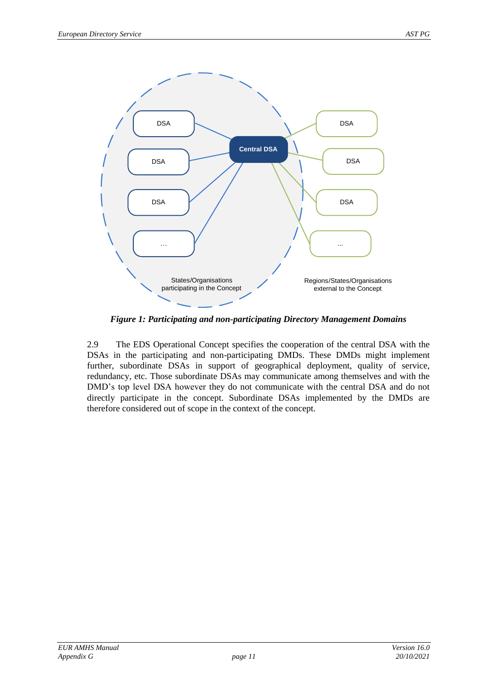

*Figure 1: Participating and non-participating Directory Management Domains*

<span id="page-10-0"></span>2.9 The EDS Operational Concept specifies the cooperation of the central DSA with the DSAs in the participating and non-participating DMDs. These DMDs might implement further, subordinate DSAs in support of geographical deployment, quality of service, redundancy, etc. Those subordinate DSAs may communicate among themselves and with the DMD's top level DSA however they do not communicate with the central DSA and do not directly participate in the concept. Subordinate DSAs implemented by the DMDs are therefore considered out of scope in the context of the concept.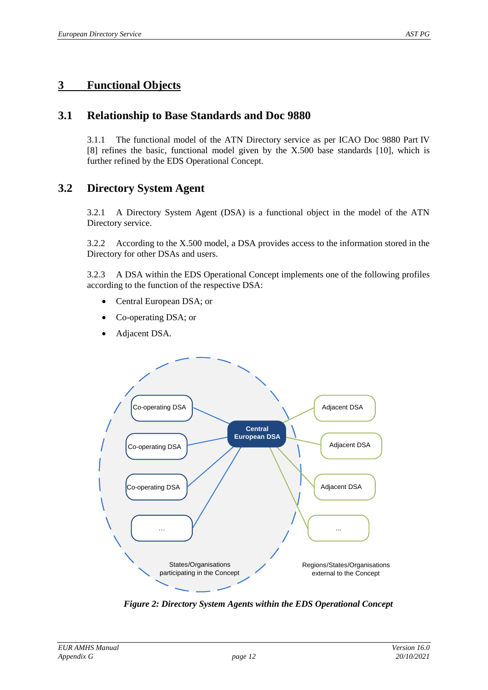## <span id="page-11-0"></span>**3 Functional Objects**

## <span id="page-11-1"></span>**3.1 Relationship to Base Standards and Doc 9880**

3.1.1 The functional model of the ATN Directory service as per ICAO Doc 9880 Part IV [\[8\]](#page-5-3) refines the basic, functional model given by the X.500 base standards [\[10\]](#page-5-4), which is further refined by the EDS Operational Concept.

## <span id="page-11-2"></span>**3.2 Directory System Agent**

3.2.1 A Directory System Agent (DSA) is a functional object in the model of the ATN Directory service.

3.2.2 According to the X.500 model, a DSA provides access to the information stored in the Directory for other DSAs and users.

3.2.3 A DSA within the EDS Operational Concept implements one of the following profiles according to the function of the respective DSA:

- Central European DSA; or
- Co-operating DSA; or
- Adjacent DSA.



<span id="page-11-3"></span>*Figure 2: Directory System Agents within the EDS Operational Concept*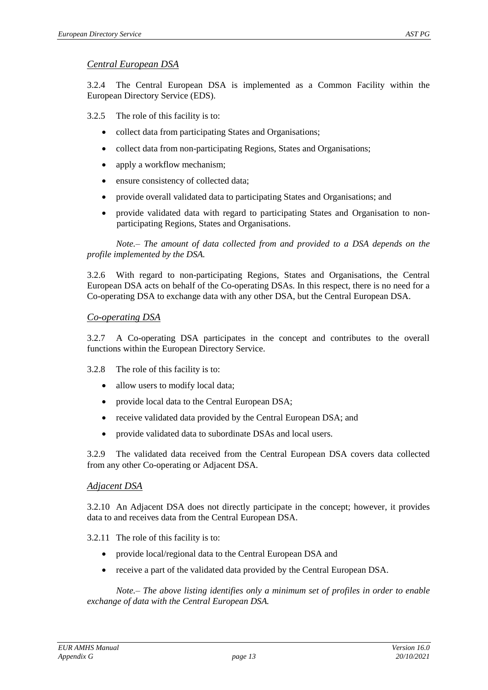#### *Central European DSA*

3.2.4 The Central European DSA is implemented as a Common Facility within the European Directory Service (EDS).

3.2.5 The role of this facility is to:

- collect data from participating States and Organisations;
- collect data from non-participating Regions, States and Organisations;
- apply a workflow mechanism;
- ensure consistency of collected data;
- provide overall validated data to participating States and Organisations; and
- provide validated data with regard to participating States and Organisation to nonparticipating Regions, States and Organisations.

*Note.– The amount of data collected from and provided to a DSA depends on the profile implemented by the DSA.*

3.2.6 With regard to non-participating Regions, States and Organisations, the Central European DSA acts on behalf of the Co-operating DSAs. In this respect, there is no need for a Co-operating DSA to exchange data with any other DSA, but the Central European DSA.

#### *Co-operating DSA*

3.2.7 A Co-operating DSA participates in the concept and contributes to the overall functions within the European Directory Service.

- 3.2.8 The role of this facility is to:
	- allow users to modify local data;
	- provide local data to the Central European DSA;
	- receive validated data provided by the Central European DSA; and
	- provide validated data to subordinate DSAs and local users.

3.2.9 The validated data received from the Central European DSA covers data collected from any other Co-operating or Adjacent DSA.

#### *Adjacent DSA*

3.2.10 An Adjacent DSA does not directly participate in the concept; however, it provides data to and receives data from the Central European DSA.

3.2.11 The role of this facility is to:

- provide local/regional data to the Central European DSA and
- receive a part of the validated data provided by the Central European DSA.

*Note.– The above listing identifies only a minimum set of profiles in order to enable exchange of data with the Central European DSA.*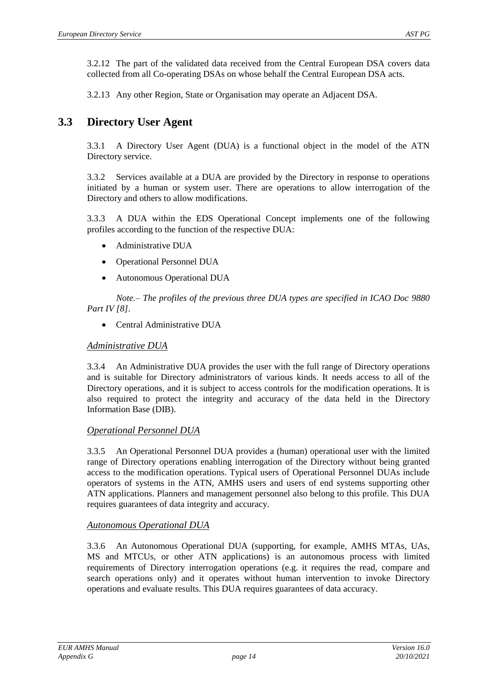3.2.12 The part of the validated data received from the Central European DSA covers data collected from all Co-operating DSAs on whose behalf the Central European DSA acts.

3.2.13 Any other Region, State or Organisation may operate an Adjacent DSA.

## <span id="page-13-0"></span>**3.3 Directory User Agent**

3.3.1 A Directory User Agent (DUA) is a functional object in the model of the ATN Directory service.

3.3.2 Services available at a DUA are provided by the Directory in response to operations initiated by a human or system user. There are operations to allow interrogation of the Directory and others to allow modifications.

3.3.3 A DUA within the EDS Operational Concept implements one of the following profiles according to the function of the respective DUA:

- Administrative DUA
- Operational Personnel DUA
- Autonomous Operational DUA

*Note.– The profiles of the previous three DUA types are specified in ICAO Doc 9880 Part IV [\[8\]](#page-5-3).*

• Central Administrative DUA

#### *Administrative DUA*

3.3.4 An Administrative DUA provides the user with the full range of Directory operations and is suitable for Directory administrators of various kinds. It needs access to all of the Directory operations, and it is subject to access controls for the modification operations. It is also required to protect the integrity and accuracy of the data held in the Directory Information Base (DIB).

#### *Operational Personnel DUA*

3.3.5 An Operational Personnel DUA provides a (human) operational user with the limited range of Directory operations enabling interrogation of the Directory without being granted access to the modification operations. Typical users of Operational Personnel DUAs include operators of systems in the ATN, AMHS users and users of end systems supporting other ATN applications. Planners and management personnel also belong to this profile. This DUA requires guarantees of data integrity and accuracy.

#### *Autonomous Operational DUA*

3.3.6 An Autonomous Operational DUA (supporting, for example, AMHS MTAs, UAs, MS and MTCUs, or other ATN applications) is an autonomous process with limited requirements of Directory interrogation operations (e.g. it requires the read, compare and search operations only) and it operates without human intervention to invoke Directory operations and evaluate results. This DUA requires guarantees of data accuracy.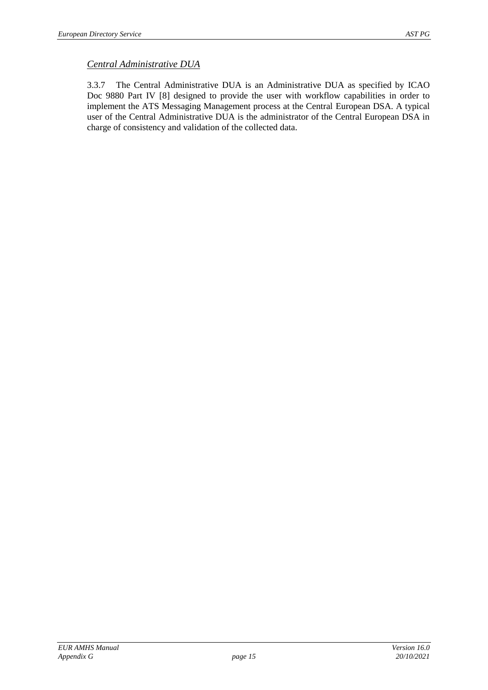#### *Central Administrative DUA*

3.3.7 The Central Administrative DUA is an Administrative DUA as specified by ICAO Doc 9880 Part IV [\[8\]](#page-5-3) designed to provide the user with workflow capabilities in order to implement the ATS Messaging Management process at the Central European DSA. A typical user of the Central Administrative DUA is the administrator of the Central European DSA in charge of consistency and validation of the collected data.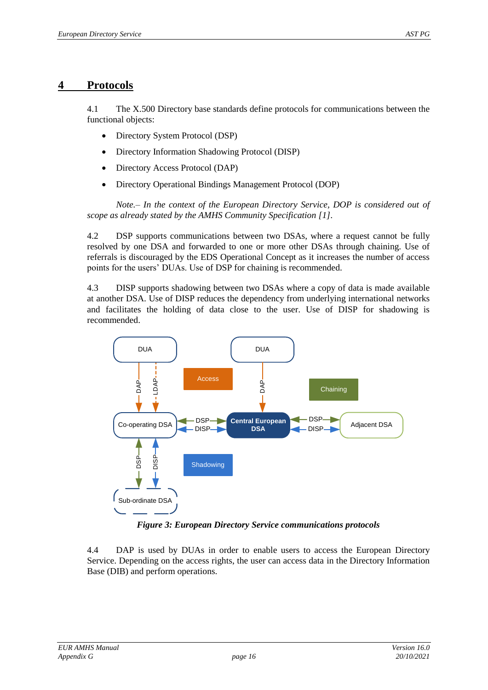## <span id="page-15-0"></span>**4 Protocols**

4.1 The X.500 Directory base standards define protocols for communications between the functional objects:

- Directory System Protocol (DSP)
- Directory Information Shadowing Protocol (DISP)
- Directory Access Protocol (DAP)
- Directory Operational Bindings Management Protocol (DOP)

*Note.– In the context of the European Directory Service, DOP is considered out of scope as already stated by the AMHS Community Specification [\[1\]](#page-5-1).*

4.2 DSP supports communications between two DSAs, where a request cannot be fully resolved by one DSA and forwarded to one or more other DSAs through chaining. Use of referrals is discouraged by the EDS Operational Concept as it increases the number of access points for the users' DUAs. Use of DSP for chaining is recommended.

4.3 DISP supports shadowing between two DSAs where a copy of data is made available at another DSA. Use of DISP reduces the dependency from underlying international networks and facilitates the holding of data close to the user. Use of DISP for shadowing is recommended.



*Figure 3: European Directory Service communications protocols*

<span id="page-15-1"></span>4.4 DAP is used by DUAs in order to enable users to access the European Directory Service. Depending on the access rights, the user can access data in the Directory Information Base (DIB) and perform operations.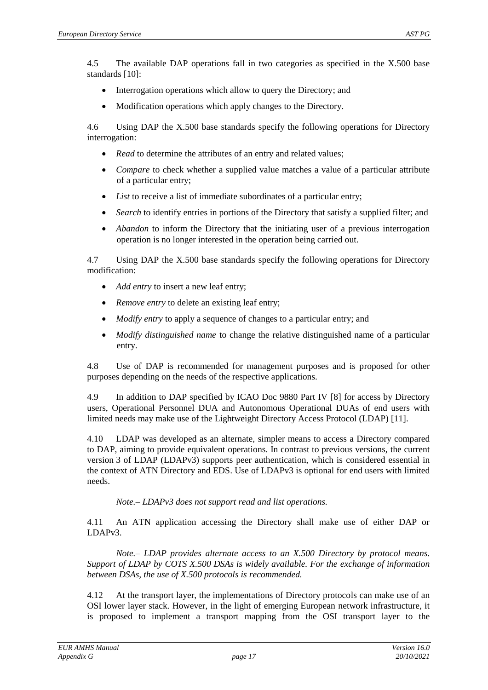4.5 The available DAP operations fall in two categories as specified in the X.500 base standards [\[10\]](#page-5-4):

- Interrogation operations which allow to query the Directory; and
- Modification operations which apply changes to the Directory.

4.6 Using DAP the X.500 base standards specify the following operations for Directory interrogation:

- *Read* to determine the attributes of an entry and related values;
- *Compare* to check whether a supplied value matches a value of a particular attribute of a particular entry;
- *List* to receive a list of immediate subordinates of a particular entry;
- *Search* to identify entries in portions of the Directory that satisfy a supplied filter; and
- *Abandon* to inform the Directory that the initiating user of a previous interrogation operation is no longer interested in the operation being carried out.

4.7 Using DAP the X.500 base standards specify the following operations for Directory modification:

- *Add entry* to insert a new leaf entry;
- *Remove entry* to delete an existing leaf entry;
- *Modify entry* to apply a sequence of changes to a particular entry; and
- *Modify distinguished name* to change the relative distinguished name of a particular entry.

4.8 Use of DAP is recommended for management purposes and is proposed for other purposes depending on the needs of the respective applications.

4.9 In addition to DAP specified by ICAO Doc 9880 Part IV [\[8\]](#page-5-3) for access by Directory users, Operational Personnel DUA and Autonomous Operational DUAs of end users with limited needs may make use of the Lightweight Directory Access Protocol (LDAP) [\[11\]](#page-5-7).

4.10 LDAP was developed as an alternate, simpler means to access a Directory compared to DAP, aiming to provide equivalent operations. In contrast to previous versions, the current version 3 of LDAP (LDAPv3) supports peer authentication, which is considered essential in the context of ATN Directory and EDS. Use of LDAPv3 is optional for end users with limited needs.

*Note.– LDAPv3 does not support read and list operations.*

4.11 An ATN application accessing the Directory shall make use of either DAP or LDAPv3.

*Note.– LDAP provides alternate access to an X.500 Directory by protocol means. Support of LDAP by COTS X.500 DSAs is widely available. For the exchange of information between DSAs, the use of X.500 protocols is recommended.*

4.12 At the transport layer, the implementations of Directory protocols can make use of an OSI lower layer stack. However, in the light of emerging European network infrastructure, it is proposed to implement a transport mapping from the OSI transport layer to the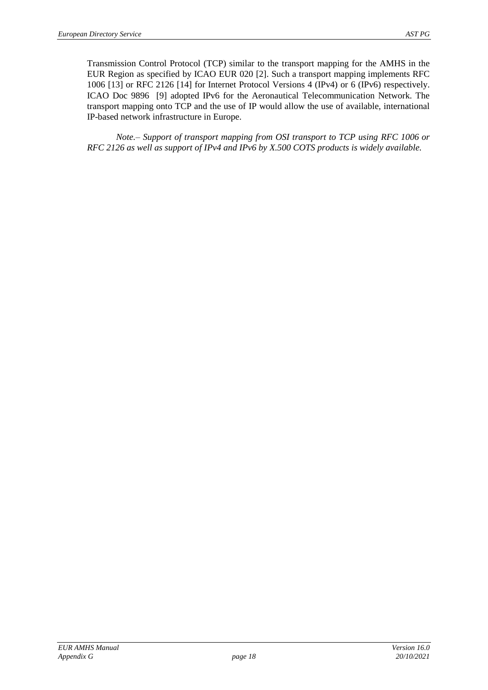Transmission Control Protocol (TCP) similar to the transport mapping for the AMHS in the EUR Region as specified by ICAO EUR 020 [\[2\]](#page-5-2). Such a transport mapping implements RFC 1006 [\[13\]](#page-5-8) or RFC 2126 [\[14\]](#page-5-9) for Internet Protocol Versions 4 (IPv4) or 6 (IPv6) respectively. ICAO Doc 9896 [\[9\]](#page-5-10) adopted IPv6 for the Aeronautical Telecommunication Network. The transport mapping onto TCP and the use of IP would allow the use of available, international IP-based network infrastructure in Europe.

*Note.– Support of transport mapping from OSI transport to TCP using RFC 1006 or RFC 2126 as well as support of IPv4 and IPv6 by X.500 COTS products is widely available.*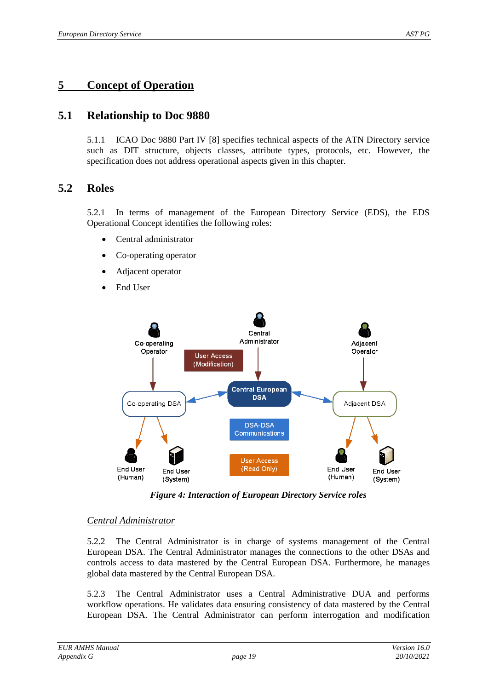## <span id="page-18-0"></span>**5 Concept of Operation**

## <span id="page-18-1"></span>**5.1 Relationship to Doc 9880**

5.1.1 ICAO Doc 9880 Part IV [\[8\]](#page-5-3) specifies technical aspects of the ATN Directory service such as DIT structure, objects classes, attribute types, protocols, etc. However, the specification does not address operational aspects given in this chapter.

### <span id="page-18-2"></span>**5.2 Roles**

5.2.1 In terms of management of the European Directory Service (EDS), the EDS Operational Concept identifies the following roles:

- Central administrator
- Co-operating operator
- Adjacent operator
- End User



*Figure 4: Interaction of European Directory Service roles*

#### <span id="page-18-3"></span>*Central Administrator*

5.2.2 The Central Administrator is in charge of systems management of the Central European DSA. The Central Administrator manages the connections to the other DSAs and controls access to data mastered by the Central European DSA. Furthermore, he manages global data mastered by the Central European DSA.

5.2.3 The Central Administrator uses a Central Administrative DUA and performs workflow operations. He validates data ensuring consistency of data mastered by the Central European DSA. The Central Administrator can perform interrogation and modification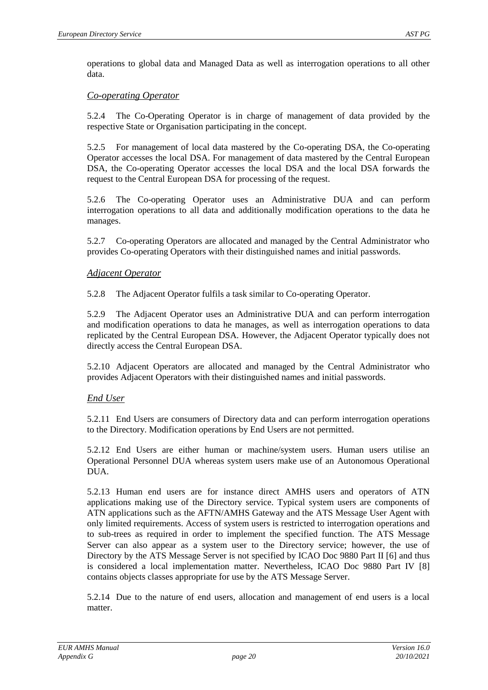operations to global data and Managed Data as well as interrogation operations to all other data.

#### *Co-operating Operator*

5.2.4 The Co-Operating Operator is in charge of management of data provided by the respective State or Organisation participating in the concept.

5.2.5 For management of local data mastered by the Co-operating DSA, the Co-operating Operator accesses the local DSA. For management of data mastered by the Central European DSA, the Co-operating Operator accesses the local DSA and the local DSA forwards the request to the Central European DSA for processing of the request.

5.2.6 The Co-operating Operator uses an Administrative DUA and can perform interrogation operations to all data and additionally modification operations to the data he manages.

5.2.7 Co-operating Operators are allocated and managed by the Central Administrator who provides Co-operating Operators with their distinguished names and initial passwords.

#### *Adjacent Operator*

5.2.8 The Adjacent Operator fulfils a task similar to Co-operating Operator.

5.2.9 The Adjacent Operator uses an Administrative DUA and can perform interrogation and modification operations to data he manages, as well as interrogation operations to data replicated by the Central European DSA. However, the Adjacent Operator typically does not directly access the Central European DSA.

5.2.10 Adjacent Operators are allocated and managed by the Central Administrator who provides Adjacent Operators with their distinguished names and initial passwords.

#### *End User*

5.2.11 End Users are consumers of Directory data and can perform interrogation operations to the Directory. Modification operations by End Users are not permitted.

5.2.12 End Users are either human or machine/system users. Human users utilise an Operational Personnel DUA whereas system users make use of an Autonomous Operational DUA.

5.2.13 Human end users are for instance direct AMHS users and operators of ATN applications making use of the Directory service. Typical system users are components of ATN applications such as the AFTN/AMHS Gateway and the ATS Message User Agent with only limited requirements. Access of system users is restricted to interrogation operations and to sub-trees as required in order to implement the specified function. The ATS Message Server can also appear as a system user to the Directory service; however, the use of Directory by the ATS Message Server is not specified by ICAO Doc 9880 Part II [\[6\]](#page-5-11) and thus is considered a local implementation matter. Nevertheless, ICAO Doc 9880 Part IV [\[8\]](#page-5-3) contains objects classes appropriate for use by the ATS Message Server.

5.2.14 Due to the nature of end users, allocation and management of end users is a local matter.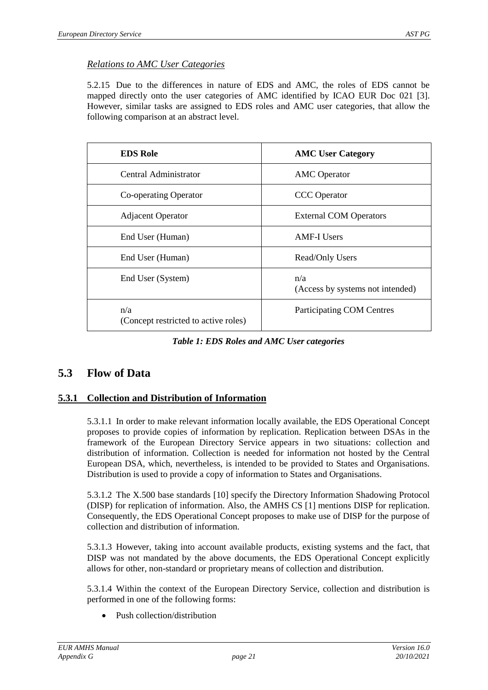#### *Relations to AMC User Categories*

5.2.15 Due to the differences in nature of EDS and AMC, the roles of EDS cannot be mapped directly onto the user categories of AMC identified by ICAO EUR Doc 021 [\[3\]](#page-5-5). However, similar tasks are assigned to EDS roles and AMC user categories, that allow the following comparison at an abstract level.

| <b>EDS Role</b>                             | <b>AMC User Category</b>                |
|---------------------------------------------|-----------------------------------------|
| Central Administrator                       | <b>AMC</b> Operator                     |
| Co-operating Operator                       | <b>CCC</b> Operator                     |
| <b>Adjacent Operator</b>                    | <b>External COM Operators</b>           |
| End User (Human)                            | <b>AMF-I Users</b>                      |
| End User (Human)                            | Read/Only Users                         |
| End User (System)                           | n/a<br>(Access by systems not intended) |
| n/a<br>(Concept restricted to active roles) | Participating COM Centres               |

*Table 1: EDS Roles and AMC User categories*

### <span id="page-20-0"></span>**5.3 Flow of Data**

#### <span id="page-20-1"></span>**5.3.1 Collection and Distribution of Information**

5.3.1.1 In order to make relevant information locally available, the EDS Operational Concept proposes to provide copies of information by replication. Replication between DSAs in the framework of the European Directory Service appears in two situations: collection and distribution of information. Collection is needed for information not hosted by the Central European DSA, which, nevertheless, is intended to be provided to States and Organisations. Distribution is used to provide a copy of information to States and Organisations.

5.3.1.2 The X.500 base standards [\[10\]](#page-5-4) specify the Directory Information Shadowing Protocol (DISP) for replication of information. Also, the AMHS CS [\[1\]](#page-5-1) mentions DISP for replication. Consequently, the EDS Operational Concept proposes to make use of DISP for the purpose of collection and distribution of information.

5.3.1.3 However, taking into account available products, existing systems and the fact, that DISP was not mandated by the above documents, the EDS Operational Concept explicitly allows for other, non-standard or proprietary means of collection and distribution.

5.3.1.4 Within the context of the European Directory Service, collection and distribution is performed in one of the following forms:

Push collection/distribution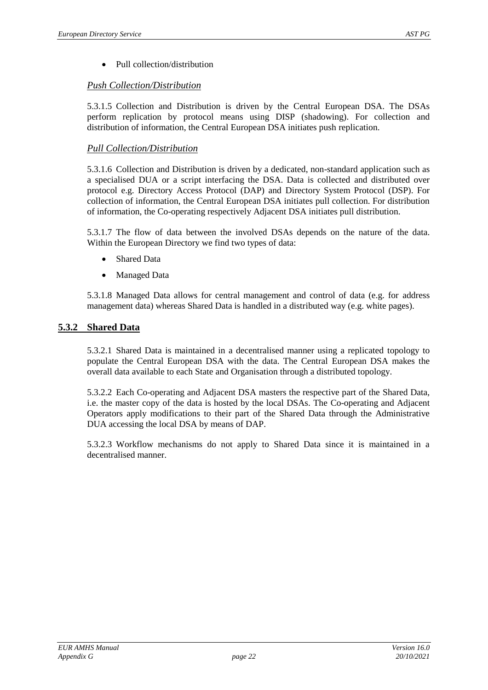• Pull collection/distribution

#### *Push Collection/Distribution*

5.3.1.5 Collection and Distribution is driven by the Central European DSA. The DSAs perform replication by protocol means using DISP (shadowing). For collection and distribution of information, the Central European DSA initiates push replication.

#### *Pull Collection/Distribution*

5.3.1.6 Collection and Distribution is driven by a dedicated, non-standard application such as a specialised DUA or a script interfacing the DSA. Data is collected and distributed over protocol e.g. Directory Access Protocol (DAP) and Directory System Protocol (DSP). For collection of information, the Central European DSA initiates pull collection. For distribution of information, the Co-operating respectively Adjacent DSA initiates pull distribution.

5.3.1.7 The flow of data between the involved DSAs depends on the nature of the data. Within the European Directory we find two types of data:

- Shared Data
- Managed Data

5.3.1.8 Managed Data allows for central management and control of data (e.g. for address management data) whereas Shared Data is handled in a distributed way (e.g. white pages).

#### <span id="page-21-0"></span>**5.3.2 Shared Data**

5.3.2.1 Shared Data is maintained in a decentralised manner using a replicated topology to populate the Central European DSA with the data. The Central European DSA makes the overall data available to each State and Organisation through a distributed topology.

5.3.2.2 Each Co-operating and Adjacent DSA masters the respective part of the Shared Data, i.e. the master copy of the data is hosted by the local DSAs. The Co-operating and Adjacent Operators apply modifications to their part of the Shared Data through the Administrative DUA accessing the local DSA by means of DAP.

5.3.2.3 Workflow mechanisms do not apply to Shared Data since it is maintained in a decentralised manner.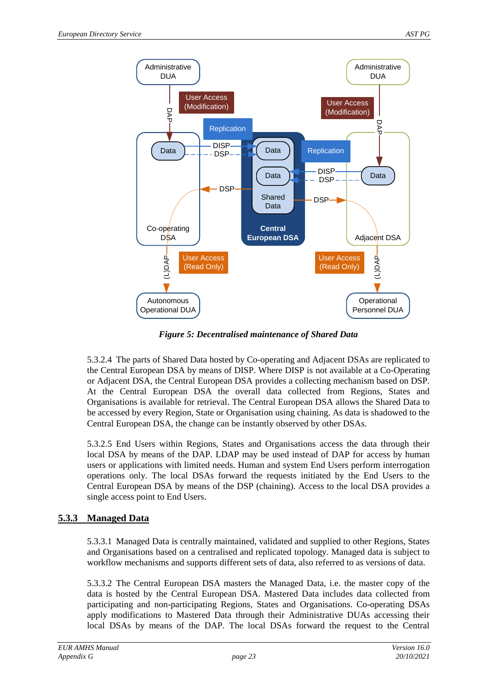

*Figure 5: Decentralised maintenance of Shared Data*

<span id="page-22-1"></span>5.3.2.4 The parts of Shared Data hosted by Co-operating and Adjacent DSAs are replicated to the Central European DSA by means of DISP. Where DISP is not available at a Co-Operating or Adjacent DSA, the Central European DSA provides a collecting mechanism based on DSP. At the Central European DSA the overall data collected from Regions, States and Organisations is available for retrieval. The Central European DSA allows the Shared Data to be accessed by every Region, State or Organisation using chaining. As data is shadowed to the Central European DSA, the change can be instantly observed by other DSAs.

5.3.2.5 End Users within Regions, States and Organisations access the data through their local DSA by means of the DAP. LDAP may be used instead of DAP for access by human users or applications with limited needs. Human and system End Users perform interrogation operations only. The local DSAs forward the requests initiated by the End Users to the Central European DSA by means of the DSP (chaining). Access to the local DSA provides a single access point to End Users.

#### <span id="page-22-0"></span>**5.3.3 Managed Data**

5.3.3.1 Managed Data is centrally maintained, validated and supplied to other Regions, States and Organisations based on a centralised and replicated topology. Managed data is subject to workflow mechanisms and supports different sets of data, also referred to as versions of data.

5.3.3.2 The Central European DSA masters the Managed Data, i.e. the master copy of the data is hosted by the Central European DSA. Mastered Data includes data collected from participating and non-participating Regions, States and Organisations. Co-operating DSAs apply modifications to Mastered Data through their Administrative DUAs accessing their local DSAs by means of the DAP. The local DSAs forward the request to the Central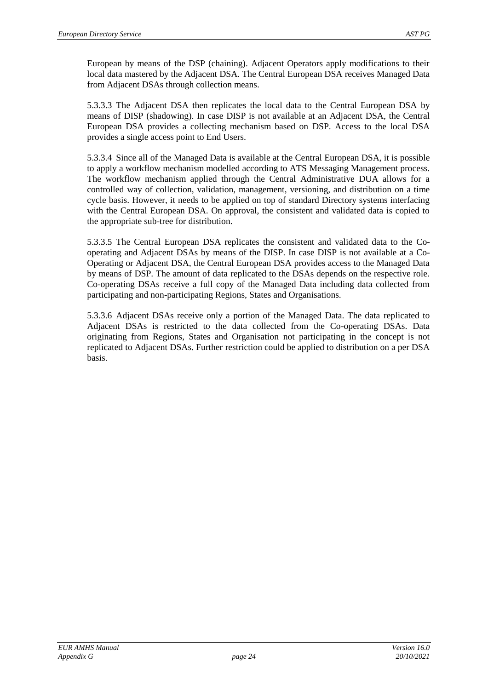European by means of the DSP (chaining). Adjacent Operators apply modifications to their local data mastered by the Adjacent DSA. The Central European DSA receives Managed Data from Adjacent DSAs through collection means.

5.3.3.3 The Adjacent DSA then replicates the local data to the Central European DSA by means of DISP (shadowing). In case DISP is not available at an Adjacent DSA, the Central European DSA provides a collecting mechanism based on DSP. Access to the local DSA provides a single access point to End Users.

5.3.3.4 Since all of the Managed Data is available at the Central European DSA, it is possible to apply a workflow mechanism modelled according to ATS Messaging Management process. The workflow mechanism applied through the Central Administrative DUA allows for a controlled way of collection, validation, management, versioning, and distribution on a time cycle basis. However, it needs to be applied on top of standard Directory systems interfacing with the Central European DSA. On approval, the consistent and validated data is copied to the appropriate sub-tree for distribution.

5.3.3.5 The Central European DSA replicates the consistent and validated data to the Cooperating and Adjacent DSAs by means of the DISP. In case DISP is not available at a Co-Operating or Adjacent DSA, the Central European DSA provides access to the Managed Data by means of DSP. The amount of data replicated to the DSAs depends on the respective role. Co-operating DSAs receive a full copy of the Managed Data including data collected from participating and non-participating Regions, States and Organisations.

5.3.3.6 Adjacent DSAs receive only a portion of the Managed Data. The data replicated to Adjacent DSAs is restricted to the data collected from the Co-operating DSAs. Data originating from Regions, States and Organisation not participating in the concept is not replicated to Adjacent DSAs. Further restriction could be applied to distribution on a per DSA basis.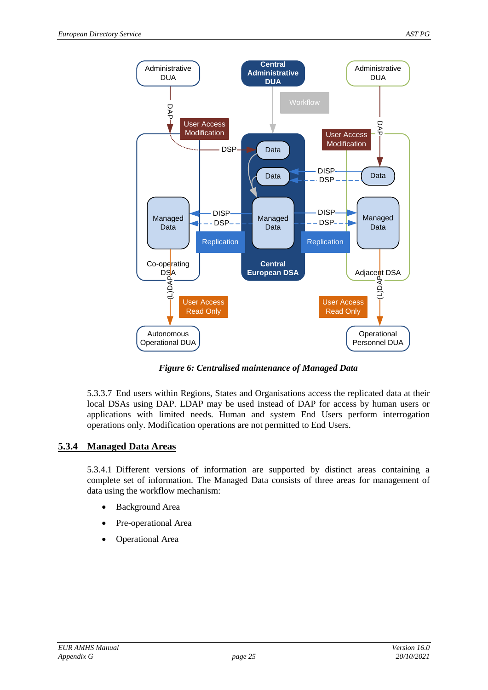

*Figure 6: Centralised maintenance of Managed Data*

<span id="page-24-1"></span>5.3.3.7 End users within Regions, States and Organisations access the replicated data at their local DSAs using DAP. LDAP may be used instead of DAP for access by human users or applications with limited needs. Human and system End Users perform interrogation operations only. Modification operations are not permitted to End Users.

#### <span id="page-24-0"></span>**5.3.4 Managed Data Areas**

5.3.4.1 Different versions of information are supported by distinct areas containing a complete set of information. The Managed Data consists of three areas for management of data using the workflow mechanism:

- Background Area
- Pre-operational Area
- Operational Area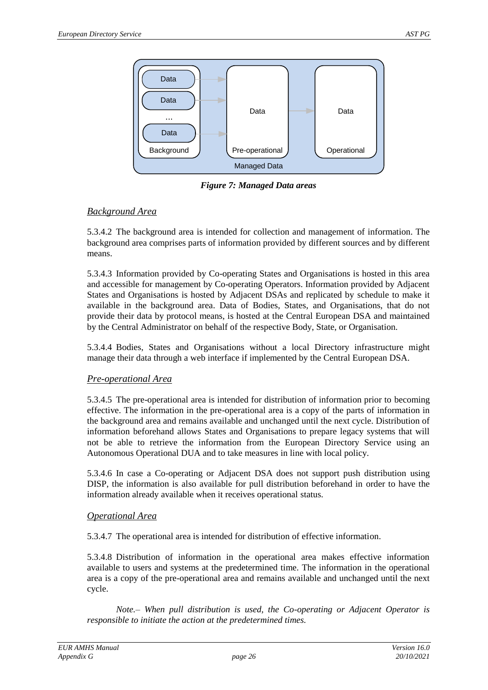

*Figure 7: Managed Data areas*

#### <span id="page-25-0"></span>*Background Area*

5.3.4.2 The background area is intended for collection and management of information. The background area comprises parts of information provided by different sources and by different means.

5.3.4.3 Information provided by Co-operating States and Organisations is hosted in this area and accessible for management by Co-operating Operators. Information provided by Adjacent States and Organisations is hosted by Adjacent DSAs and replicated by schedule to make it available in the background area. Data of Bodies, States, and Organisations, that do not provide their data by protocol means, is hosted at the Central European DSA and maintained by the Central Administrator on behalf of the respective Body, State, or Organisation.

5.3.4.4 Bodies, States and Organisations without a local Directory infrastructure might manage their data through a web interface if implemented by the Central European DSA.

#### *Pre-operational Area*

5.3.4.5 The pre-operational area is intended for distribution of information prior to becoming effective. The information in the pre-operational area is a copy of the parts of information in the background area and remains available and unchanged until the next cycle. Distribution of information beforehand allows States and Organisations to prepare legacy systems that will not be able to retrieve the information from the European Directory Service using an Autonomous Operational DUA and to take measures in line with local policy.

5.3.4.6 In case a Co-operating or Adjacent DSA does not support push distribution using DISP, the information is also available for pull distribution beforehand in order to have the information already available when it receives operational status.

#### *Operational Area*

5.3.4.7 The operational area is intended for distribution of effective information.

5.3.4.8 Distribution of information in the operational area makes effective information available to users and systems at the predetermined time. The information in the operational area is a copy of the pre-operational area and remains available and unchanged until the next cycle.

*Note.– When pull distribution is used, the Co-operating or Adjacent Operator is responsible to initiate the action at the predetermined times.*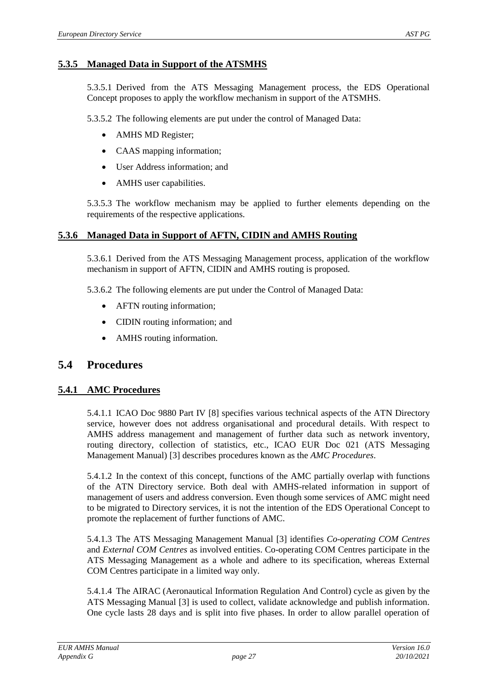#### <span id="page-26-0"></span>**5.3.5 Managed Data in Support of the ATSMHS**

5.3.5.1 Derived from the ATS Messaging Management process, the EDS Operational Concept proposes to apply the workflow mechanism in support of the ATSMHS.

5.3.5.2 The following elements are put under the control of Managed Data:

- AMHS MD Register;
- CAAS mapping information;
- User Address information; and
- AMHS user capabilities.

5.3.5.3 The workflow mechanism may be applied to further elements depending on the requirements of the respective applications.

#### <span id="page-26-1"></span>**5.3.6 Managed Data in Support of AFTN, CIDIN and AMHS Routing**

5.3.6.1 Derived from the ATS Messaging Management process, application of the workflow mechanism in support of AFTN, CIDIN and AMHS routing is proposed.

5.3.6.2 The following elements are put under the Control of Managed Data:

- AFTN routing information;
- CIDIN routing information; and
- AMHS routing information.

### <span id="page-26-2"></span>**5.4 Procedures**

#### <span id="page-26-3"></span>**5.4.1 AMC Procedures**

5.4.1.1 ICAO Doc 9880 Part IV [\[8\]](#page-5-3) specifies various technical aspects of the ATN Directory service, however does not address organisational and procedural details. With respect to AMHS address management and management of further data such as network inventory, routing directory, collection of statistics, etc., ICAO EUR Doc 021 (ATS Messaging Management Manual) [\[3\]](#page-5-5) describes procedures known as the *AMC Procedures*.

5.4.1.2 In the context of this concept, functions of the AMC partially overlap with functions of the ATN Directory service. Both deal with AMHS-related information in support of management of users and address conversion. Even though some services of AMC might need to be migrated to Directory services, it is not the intention of the EDS Operational Concept to promote the replacement of further functions of AMC.

5.4.1.3 The ATS Messaging Management Manual [\[3\]](#page-5-5) identifies *Co-operating COM Centres*  and *External COM Centres* as involved entities. Co-operating COM Centres participate in the ATS Messaging Management as a whole and adhere to its specification, whereas External COM Centres participate in a limited way only.

5.4.1.4 The AIRAC (Aeronautical Information Regulation And Control) cycle as given by the ATS Messaging Manual [\[3\]](#page-5-5) is used to collect, validate acknowledge and publish information. One cycle lasts 28 days and is split into five phases. In order to allow parallel operation of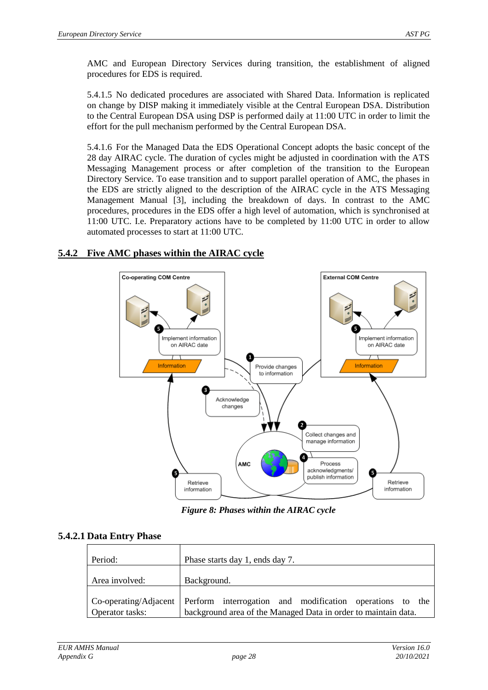AMC and European Directory Services during transition, the establishment of aligned procedures for EDS is required.

5.4.1.5 No dedicated procedures are associated with Shared Data. Information is replicated on change by DISP making it immediately visible at the Central European DSA. Distribution to the Central European DSA using DSP is performed daily at 11:00 UTC in order to limit the effort for the pull mechanism performed by the Central European DSA.

5.4.1.6 For the Managed Data the EDS Operational Concept adopts the basic concept of the 28 day AIRAC cycle. The duration of cycles might be adjusted in coordination with the ATS Messaging Management process or after completion of the transition to the European Directory Service. To ease transition and to support parallel operation of AMC, the phases in the EDS are strictly aligned to the description of the AIRAC cycle in the ATS Messaging Management Manual [\[3\]](#page-5-5), including the breakdown of days. In contrast to the AMC procedures, procedures in the EDS offer a high level of automation, which is synchronised at 11:00 UTC. I.e. Preparatory actions have to be completed by 11:00 UTC in order to allow automated processes to start at 11:00 UTC.

### <span id="page-27-0"></span>**5.4.2 Five AMC phases within the AIRAC cycle**



*Figure 8: Phases within the AIRAC cycle*

#### <span id="page-27-1"></span>**5.4.2.1 Data Entry Phase**

| Period:         | Phase starts day 1, ends day 7.                                                                                                                  |
|-----------------|--------------------------------------------------------------------------------------------------------------------------------------------------|
| Area involved:  | Background.                                                                                                                                      |
| Operator tasks: | Co-operating/Adjacent Perform interrogation and modification operations to the<br>background area of the Managed Data in order to maintain data. |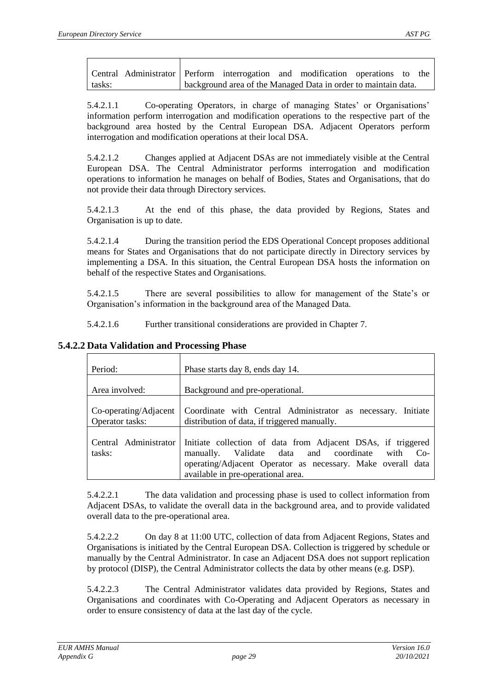|        | Central Administrator Perform interrogation and modification operations to the |                                                                |  |  |  |
|--------|--------------------------------------------------------------------------------|----------------------------------------------------------------|--|--|--|
| tasks: |                                                                                | background area of the Managed Data in order to maintain data. |  |  |  |

5.4.2.1.1 Co-operating Operators, in charge of managing States' or Organisations' information perform interrogation and modification operations to the respective part of the background area hosted by the Central European DSA. Adjacent Operators perform interrogation and modification operations at their local DSA.

5.4.2.1.2 Changes applied at Adjacent DSAs are not immediately visible at the Central European DSA. The Central Administrator performs interrogation and modification operations to information he manages on behalf of Bodies, States and Organisations, that do not provide their data through Directory services.

5.4.2.1.3 At the end of this phase, the data provided by Regions, States and Organisation is up to date.

5.4.2.1.4 During the transition period the EDS Operational Concept proposes additional means for States and Organisations that do not participate directly in Directory services by implementing a DSA. In this situation, the Central European DSA hosts the information on behalf of the respective States and Organisations.

5.4.2.1.5 There are several possibilities to allow for management of the State's or Organisation's information in the background area of the Managed Data.

5.4.2.1.6 Further transitional considerations are provided in Chapter [7.](#page-37-0)

| Period:                                  | Phase starts day 8, ends day 14.                                                                                                                                                                                             |
|------------------------------------------|------------------------------------------------------------------------------------------------------------------------------------------------------------------------------------------------------------------------------|
| Area involved:                           | Background and pre-operational.                                                                                                                                                                                              |
| Co-operating/Adjacent<br>Operator tasks: | Coordinate with Central Administrator as necessary. Initiate<br>distribution of data, if triggered manually.                                                                                                                 |
| Central Administrator<br>tasks:          | Initiate collection of data from Adjacent DSAs, if triggered<br>with<br>$Co-$<br>manually. Validate data and coordinate<br>operating/Adjacent Operator as necessary. Make overall data<br>available in pre-operational area. |

#### **5.4.2.2 Data Validation and Processing Phase**

5.4.2.2.1 The data validation and processing phase is used to collect information from Adjacent DSAs, to validate the overall data in the background area, and to provide validated overall data to the pre-operational area.

5.4.2.2.2 On day 8 at 11:00 UTC, collection of data from Adjacent Regions, States and Organisations is initiated by the Central European DSA. Collection is triggered by schedule or manually by the Central Administrator. In case an Adjacent DSA does not support replication by protocol (DISP), the Central Administrator collects the data by other means (e.g. DSP).

5.4.2.2.3 The Central Administrator validates data provided by Regions, States and Organisations and coordinates with Co-Operating and Adjacent Operators as necessary in order to ensure consistency of data at the last day of the cycle.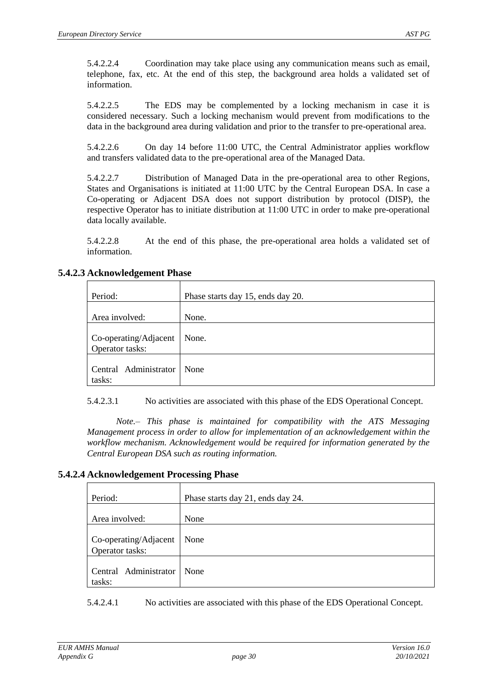5.4.2.2.4 Coordination may take place using any communication means such as email, telephone, fax, etc. At the end of this step, the background area holds a validated set of information.

5.4.2.2.5 The EDS may be complemented by a locking mechanism in case it is considered necessary. Such a locking mechanism would prevent from modifications to the data in the background area during validation and prior to the transfer to pre-operational area.

5.4.2.2.6 On day 14 before 11:00 UTC, the Central Administrator applies workflow and transfers validated data to the pre-operational area of the Managed Data.

5.4.2.2.7 Distribution of Managed Data in the pre-operational area to other Regions, States and Organisations is initiated at 11:00 UTC by the Central European DSA. In case a Co-operating or Adjacent DSA does not support distribution by protocol (DISP), the respective Operator has to initiate distribution at 11:00 UTC in order to make pre-operational data locally available.

5.4.2.2.8 At the end of this phase, the pre-operational area holds a validated set of information.

| Period:                                  | Phase starts day 15, ends day 20. |
|------------------------------------------|-----------------------------------|
| Area involved:                           | None.                             |
| Co-operating/Adjacent<br>Operator tasks: | None.                             |
| Central Administrator<br>tasks:          | None                              |

#### **5.4.2.3 Acknowledgement Phase**

5.4.2.3.1 No activities are associated with this phase of the EDS Operational Concept.

*Note.– This phase is maintained for compatibility with the ATS Messaging Management process in order to allow for implementation of an acknowledgement within the workflow mechanism. Acknowledgement would be required for information generated by the Central European DSA such as routing information.*

#### **5.4.2.4 Acknowledgement Processing Phase**

| Period:                                  | Phase starts day 21, ends day 24. |
|------------------------------------------|-----------------------------------|
| Area involved:                           | None                              |
| Co-operating/Adjacent<br>Operator tasks: | None                              |
| Central Administrator<br>tasks:          | None                              |

5.4.2.4.1 No activities are associated with this phase of the EDS Operational Concept.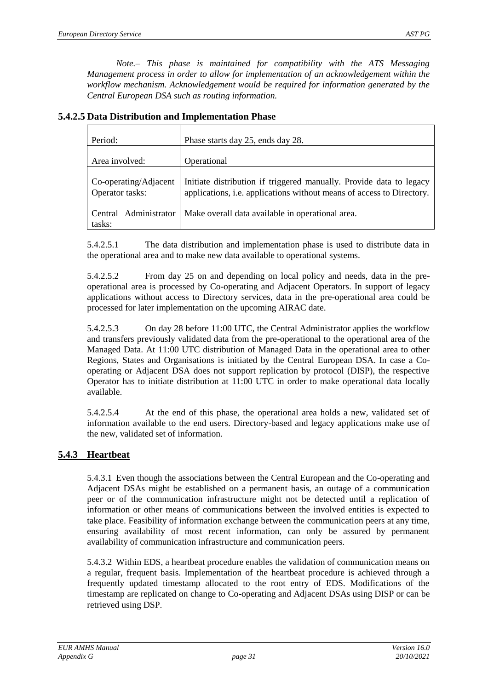| Period:                                  | Phase starts day 25, ends day 28.                                                                                                            |  |  |  |
|------------------------------------------|----------------------------------------------------------------------------------------------------------------------------------------------|--|--|--|
| Area involved:                           | Operational                                                                                                                                  |  |  |  |
| Co-operating/Adjacent<br>Operator tasks: | Initiate distribution if triggered manually. Provide data to legacy<br>applications, i.e. applications without means of access to Directory. |  |  |  |
| Central Administrator<br>tasks:          | Make overall data available in operational area.                                                                                             |  |  |  |

**5.4.2.5 Data Distribution and Implementation Phase**

5.4.2.5.1 The data distribution and implementation phase is used to distribute data in the operational area and to make new data available to operational systems.

5.4.2.5.2 From day 25 on and depending on local policy and needs, data in the preoperational area is processed by Co-operating and Adjacent Operators. In support of legacy applications without access to Directory services, data in the pre-operational area could be processed for later implementation on the upcoming AIRAC date.

5.4.2.5.3 On day 28 before 11:00 UTC, the Central Administrator applies the workflow and transfers previously validated data from the pre-operational to the operational area of the Managed Data. At 11:00 UTC distribution of Managed Data in the operational area to other Regions, States and Organisations is initiated by the Central European DSA. In case a Cooperating or Adjacent DSA does not support replication by protocol (DISP), the respective Operator has to initiate distribution at 11:00 UTC in order to make operational data locally available.

5.4.2.5.4 At the end of this phase, the operational area holds a new, validated set of information available to the end users. Directory-based and legacy applications make use of the new, validated set of information.

#### <span id="page-30-0"></span>**5.4.3 Heartbeat**

5.4.3.1 Even though the associations between the Central European and the Co-operating and Adjacent DSAs might be established on a permanent basis, an outage of a communication peer or of the communication infrastructure might not be detected until a replication of information or other means of communications between the involved entities is expected to take place. Feasibility of information exchange between the communication peers at any time, ensuring availability of most recent information, can only be assured by permanent availability of communication infrastructure and communication peers.

5.4.3.2 Within EDS, a heartbeat procedure enables the validation of communication means on a regular, frequent basis. Implementation of the heartbeat procedure is achieved through a frequently updated timestamp allocated to the root entry of EDS. Modifications of the timestamp are replicated on change to Co-operating and Adjacent DSAs using DISP or can be retrieved using DSP.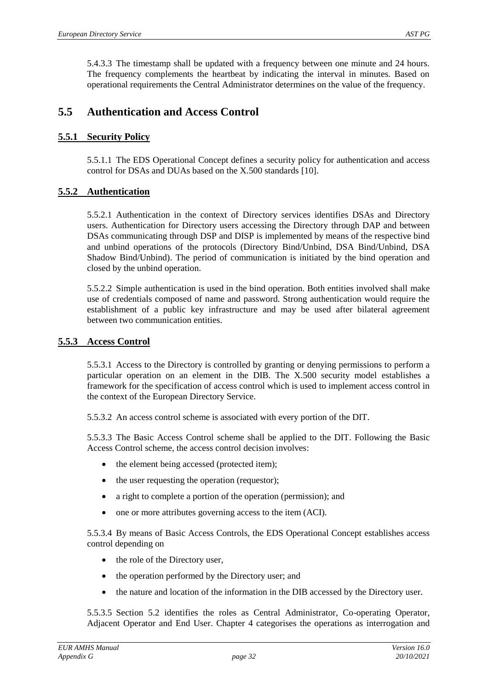5.4.3.3 The timestamp shall be updated with a frequency between one minute and 24 hours. The frequency complements the heartbeat by indicating the interval in minutes. Based on operational requirements the Central Administrator determines on the value of the frequency.

## <span id="page-31-0"></span>**5.5 Authentication and Access Control**

#### <span id="page-31-1"></span>**5.5.1 Security Policy**

5.5.1.1 The EDS Operational Concept defines a security policy for authentication and access control for DSAs and DUAs based on the X.500 standards [\[10\]](#page-5-4).

#### <span id="page-31-2"></span>**5.5.2 Authentication**

5.5.2.1 Authentication in the context of Directory services identifies DSAs and Directory users. Authentication for Directory users accessing the Directory through DAP and between DSAs communicating through DSP and DISP is implemented by means of the respective bind and unbind operations of the protocols (Directory Bind/Unbind, DSA Bind/Unbind, DSA Shadow Bind/Unbind). The period of communication is initiated by the bind operation and closed by the unbind operation.

5.5.2.2 Simple authentication is used in the bind operation. Both entities involved shall make use of credentials composed of name and password. Strong authentication would require the establishment of a public key infrastructure and may be used after bilateral agreement between two communication entities.

#### <span id="page-31-3"></span>**5.5.3 Access Control**

5.5.3.1 Access to the Directory is controlled by granting or denying permissions to perform a particular operation on an element in the DIB. The X.500 security model establishes a framework for the specification of access control which is used to implement access control in the context of the European Directory Service.

5.5.3.2 An access control scheme is associated with every portion of the DIT.

5.5.3.3 The Basic Access Control scheme shall be applied to the DIT. Following the Basic Access Control scheme, the access control decision involves:

- the element being accessed (protected item);
- the user requesting the operation (requestor);
- a right to complete a portion of the operation (permission); and
- one or more attributes governing access to the item (ACI).

5.5.3.4 By means of Basic Access Controls, the EDS Operational Concept establishes access control depending on

- the role of the Directory user,
- the operation performed by the Directory user; and
- the nature and location of the information in the DIB accessed by the Directory user.

5.5.3.5 Section [5.2](#page-18-2) identifies the roles as Central Administrator, Co-operating Operator, Adjacent Operator and End User. Chapter [4](#page-15-0) categorises the operations as interrogation and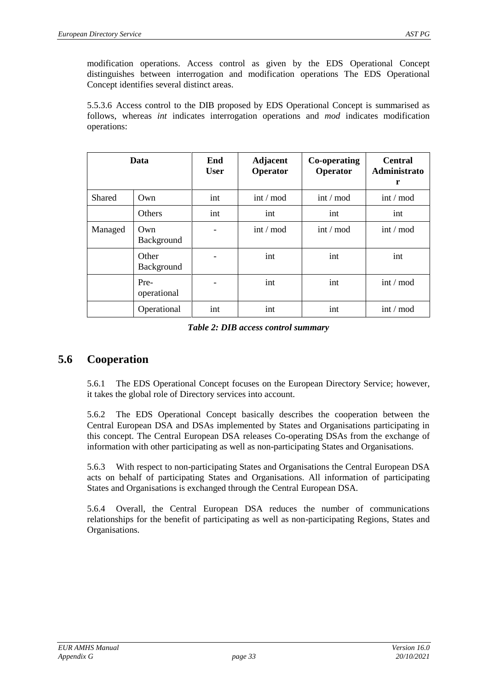modification operations. Access control as given by the EDS Operational Concept distinguishes between interrogation and modification operations The EDS Operational Concept identifies several distinct areas.

5.5.3.6 Access control to the DIB proposed by EDS Operational Concept is summarised as follows, whereas *int* indicates interrogation operations and *mod* indicates modification operations:

| Data    |                     | End<br><b>User</b> | <b>Adjacent</b><br>Operator | Co-operating<br>Operator | <b>Central</b><br>Administrato<br>r |
|---------|---------------------|--------------------|-----------------------------|--------------------------|-------------------------------------|
| Shared  | Own                 | int                | $int / \text{mod}$          | $int / \text{mod}$       | $int / \text{mod}$                  |
|         | Others              | int                | int                         | int                      | int                                 |
| Managed | Own<br>Background   |                    | $int / \text{mod}$          | $int / \text{mod}$       | $int / \text{mod}$                  |
|         | Other<br>Background |                    | int                         | int                      | int                                 |
|         | Pre-<br>operational |                    | int                         | int                      | $int / \text{mod}$                  |
|         | Operational         | int                | int                         | int                      | $int / \text{mod}$                  |

*Table 2: DIB access control summary*

## <span id="page-32-0"></span>**5.6 Cooperation**

5.6.1 The EDS Operational Concept focuses on the European Directory Service; however, it takes the global role of Directory services into account.

5.6.2 The EDS Operational Concept basically describes the cooperation between the Central European DSA and DSAs implemented by States and Organisations participating in this concept. The Central European DSA releases Co-operating DSAs from the exchange of information with other participating as well as non-participating States and Organisations.

5.6.3 With respect to non-participating States and Organisations the Central European DSA acts on behalf of participating States and Organisations. All information of participating States and Organisations is exchanged through the Central European DSA.

5.6.4 Overall, the Central European DSA reduces the number of communications relationships for the benefit of participating as well as non-participating Regions, States and Organisations.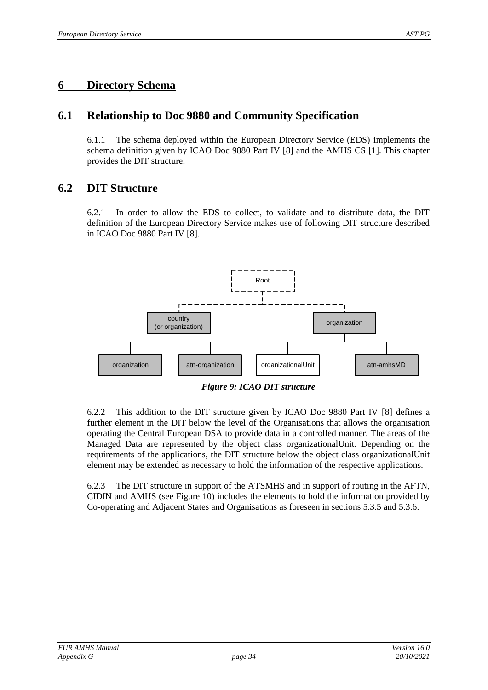## <span id="page-33-0"></span>**6 Directory Schema**

## <span id="page-33-1"></span>**6.1 Relationship to Doc 9880 and Community Specification**

6.1.1 The schema deployed within the European Directory Service (EDS) implements the schema definition given by ICAO Doc 9880 Part IV [\[8\]](#page-5-3) and the AMHS CS [\[1\]](#page-5-1). This chapter provides the DIT structure.

## <span id="page-33-2"></span>**6.2 DIT Structure**

6.2.1 In order to allow the EDS to collect, to validate and to distribute data, the DIT definition of the European Directory Service makes use of following DIT structure described in ICAO Doc 9880 Part IV [\[8\]](#page-5-3).



*Figure 9: ICAO DIT structure*

<span id="page-33-3"></span>6.2.2 This addition to the DIT structure given by ICAO Doc 9880 Part IV [\[8\]](#page-5-3) defines a further element in the DIT below the level of the Organisations that allows the organisation operating the Central European DSA to provide data in a controlled manner. The areas of the Managed Data are represented by the object class organizationalUnit. Depending on the requirements of the applications, the DIT structure below the object class organizationalUnit element may be extended as necessary to hold the information of the respective applications.

6.2.3 The DIT structure in support of the ATSMHS and in support of routing in the AFTN, CIDIN and AMHS (see [Figure 10\)](#page-34-0) includes the elements to hold the information provided by Co-operating and Adjacent States and Organisations as foreseen in sections [5.3.5](#page-26-0) an[d 5.3.6.](#page-26-1)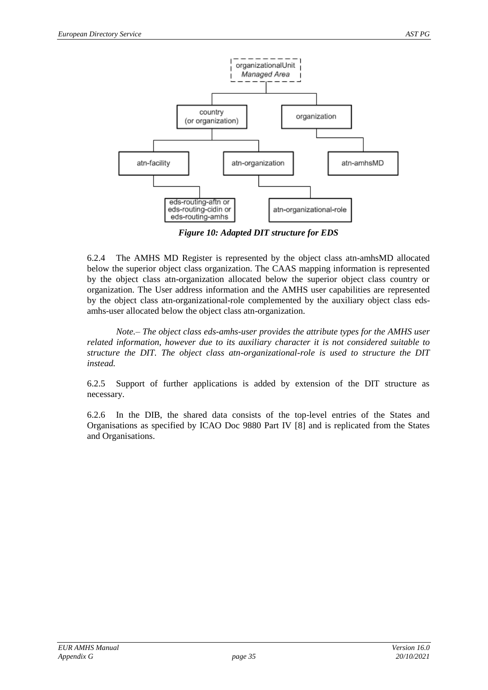

*Figure 10: Adapted DIT structure for EDS*

<span id="page-34-0"></span>6.2.4 The AMHS MD Register is represented by the object class atn-amhsMD allocated below the superior object class organization. The CAAS mapping information is represented by the object class atn-organization allocated below the superior object class country or organization. The User address information and the AMHS user capabilities are represented by the object class atn-organizational-role complemented by the auxiliary object class edsamhs-user allocated below the object class atn-organization.

*Note.– The object class eds-amhs-user provides the attribute types for the AMHS user related information, however due to its auxiliary character it is not considered suitable to structure the DIT. The object class atn-organizational-role is used to structure the DIT instead.*

6.2.5 Support of further applications is added by extension of the DIT structure as necessary.

6.2.6 In the DIB, the shared data consists of the top-level entries of the States and Organisations as specified by ICAO Doc 9880 Part IV [\[8\]](#page-5-3) and is replicated from the States and Organisations.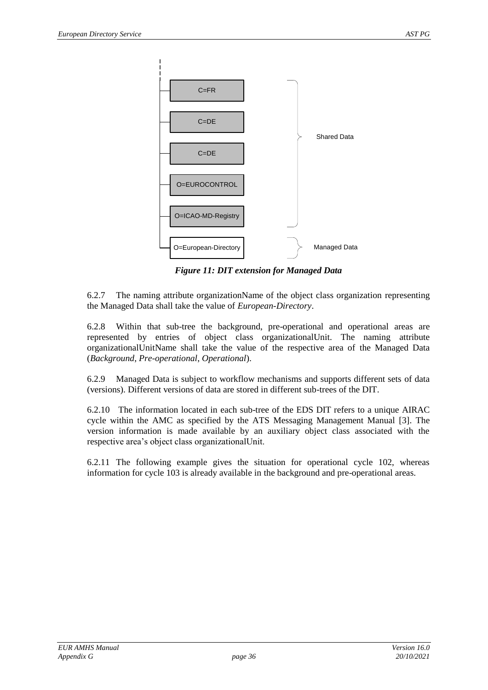

*Figure 11: DIT extension for Managed Data*

<span id="page-35-0"></span>6.2.7 The naming attribute organizationName of the object class organization representing the Managed Data shall take the value of *European-Directory*.

6.2.8 Within that sub-tree the background, pre-operational and operational areas are represented by entries of object class organizationalUnit. The naming attribute organizationalUnitName shall take the value of the respective area of the Managed Data (*Background*, *Pre-operational*, *Operational*).

6.2.9 Managed Data is subject to workflow mechanisms and supports different sets of data (versions). Different versions of data are stored in different sub-trees of the DIT.

6.2.10 The information located in each sub-tree of the EDS DIT refers to a unique AIRAC cycle within the AMC as specified by the ATS Messaging Management Manual [\[3\]](#page-5-5). The version information is made available by an auxiliary object class associated with the respective area's object class organizationalUnit.

6.2.11 The following example gives the situation for operational cycle 102, whereas information for cycle 103 is already available in the background and pre-operational areas.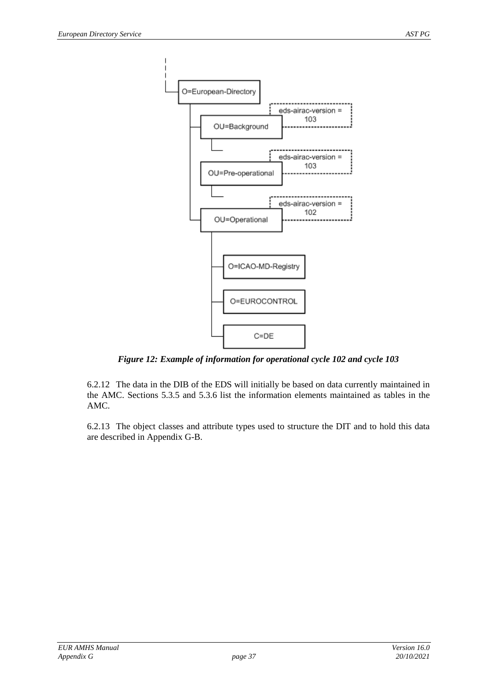

*Figure 12: Example of information for operational cycle 102 and cycle 103*

<span id="page-36-0"></span>6.2.12 The data in the DIB of the EDS will initially be based on data currently maintained in the AMC. Sections [5.3.5](#page-26-0) and [5.3.6](#page-26-1) list the information elements maintained as tables in the AMC.

6.2.13 The object classes and attribute types used to structure the DIT and to hold this data are described in Appendix G-B.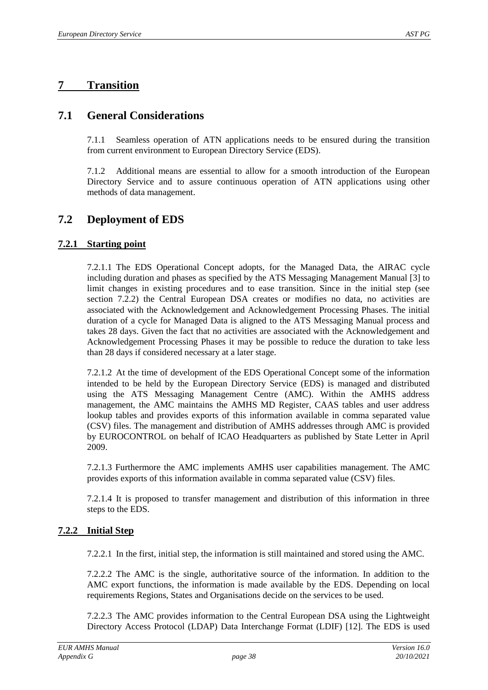## <span id="page-37-0"></span>**7 Transition**

## <span id="page-37-1"></span>**7.1 General Considerations**

7.1.1 Seamless operation of ATN applications needs to be ensured during the transition from current environment to European Directory Service (EDS).

7.1.2 Additional means are essential to allow for a smooth introduction of the European Directory Service and to assure continuous operation of ATN applications using other methods of data management.

## <span id="page-37-2"></span>**7.2 Deployment of EDS**

#### <span id="page-37-3"></span>**7.2.1 Starting point**

7.2.1.1 The EDS Operational Concept adopts, for the Managed Data, the AIRAC cycle including duration and phases as specified by the ATS Messaging Management Manual [\[3\]](#page-5-5) to limit changes in existing procedures and to ease transition. Since in the initial step (see section [7.2.2\)](#page-37-5) the Central European DSA creates or modifies no data, no activities are associated with the Acknowledgement and Acknowledgement Processing Phases. The initial duration of a cycle for Managed Data is aligned to the ATS Messaging Manual process and takes 28 days. Given the fact that no activities are associated with the Acknowledgement and Acknowledgement Processing Phases it may be possible to reduce the duration to take less than 28 days if considered necessary at a later stage.

7.2.1.2 At the time of development of the EDS Operational Concept some of the information intended to be held by the European Directory Service (EDS) is managed and distributed using the ATS Messaging Management Centre (AMC). Within the AMHS address management, the AMC maintains the AMHS MD Register, CAAS tables and user address lookup tables and provides exports of this information available in comma separated value (CSV) files. The management and distribution of AMHS addresses through AMC is provided by EUROCONTROL on behalf of ICAO Headquarters as published by State Letter in April 2009.

7.2.1.3 Furthermore the AMC implements AMHS user capabilities management. The AMC provides exports of this information available in comma separated value (CSV) files.

7.2.1.4 It is proposed to transfer management and distribution of this information in three steps to the EDS.

#### <span id="page-37-5"></span><span id="page-37-4"></span>**7.2.2 Initial Step**

7.2.2.1 In the first, initial step, the information is still maintained and stored using the AMC.

7.2.2.2 The AMC is the single, authoritative source of the information. In addition to the AMC export functions, the information is made available by the EDS. Depending on local requirements Regions, States and Organisations decide on the services to be used.

7.2.2.3 The AMC provides information to the Central European DSA using the Lightweight Directory Access Protocol (LDAP) Data Interchange Format (LDIF) [\[12\]](#page-5-12). The EDS is used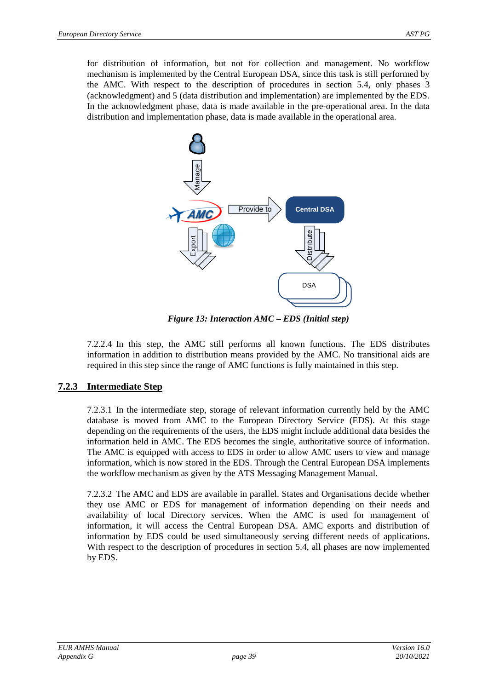for distribution of information, but not for collection and management. No workflow mechanism is implemented by the Central European DSA, since this task is still performed by the AMC. With respect to the description of procedures in section [5.4,](#page-26-2) only phases 3 (acknowledgment) and 5 (data distribution and implementation) are implemented by the EDS. In the acknowledgment phase, data is made available in the pre-operational area. In the data distribution and implementation phase, data is made available in the operational area.



*Figure 13: Interaction AMC – EDS (Initial step)*

<span id="page-38-1"></span>7.2.2.4 In this step, the AMC still performs all known functions. The EDS distributes information in addition to distribution means provided by the AMC. No transitional aids are required in this step since the range of AMC functions is fully maintained in this step.

### <span id="page-38-0"></span>**7.2.3 Intermediate Step**

7.2.3.1 In the intermediate step, storage of relevant information currently held by the AMC database is moved from AMC to the European Directory Service (EDS). At this stage depending on the requirements of the users, the EDS might include additional data besides the information held in AMC. The EDS becomes the single, authoritative source of information. The AMC is equipped with access to EDS in order to allow AMC users to view and manage information, which is now stored in the EDS. Through the Central European DSA implements the workflow mechanism as given by the ATS Messaging Management Manual.

7.2.3.2 The AMC and EDS are available in parallel. States and Organisations decide whether they use AMC or EDS for management of information depending on their needs and availability of local Directory services. When the AMC is used for management of information, it will access the Central European DSA. AMC exports and distribution of information by EDS could be used simultaneously serving different needs of applications. With respect to the description of procedures in section [5.4,](#page-26-2) all phases are now implemented by EDS.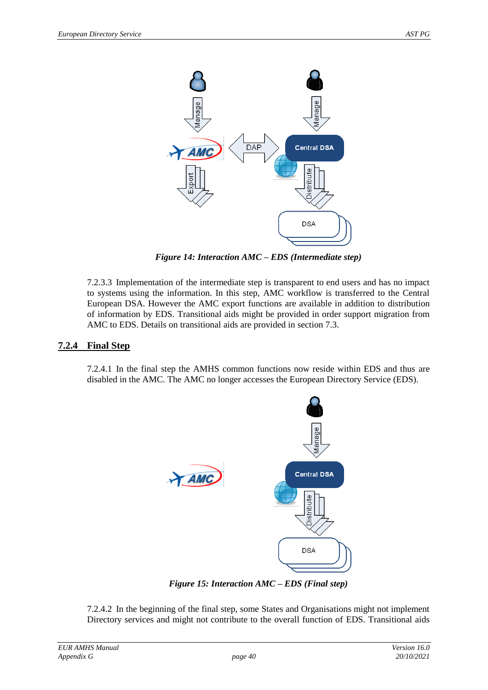

*Figure 14: Interaction AMC – EDS (Intermediate step)*

<span id="page-39-1"></span>7.2.3.3 Implementation of the intermediate step is transparent to end users and has no impact to systems using the information. In this step, AMC workflow is transferred to the Central European DSA. However the AMC export functions are available in addition to distribution of information by EDS. Transitional aids might be provided in order support migration from AMC to EDS. Details on transitional aids are provided in section [7.3.](#page-40-0)

#### <span id="page-39-0"></span>**7.2.4 Final Step**

7.2.4.1 In the final step the AMHS common functions now reside within EDS and thus are disabled in the AMC. The AMC no longer accesses the European Directory Service (EDS).



*Figure 15: Interaction AMC – EDS (Final step)*

<span id="page-39-2"></span>7.2.4.2 In the beginning of the final step, some States and Organisations might not implement Directory services and might not contribute to the overall function of EDS. Transitional aids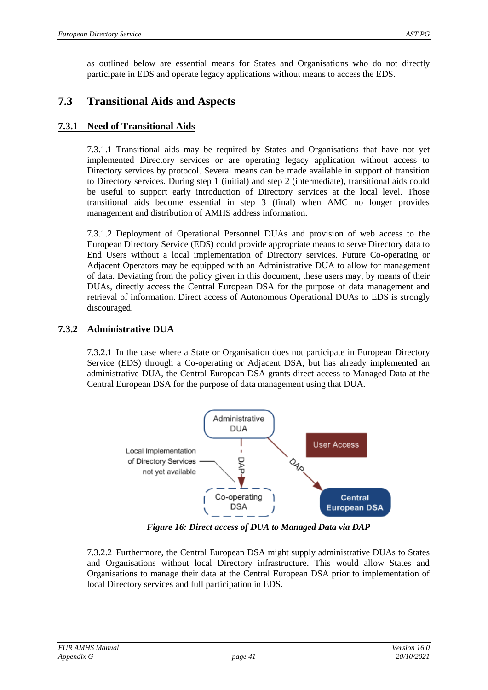as outlined below are essential means for States and Organisations who do not directly participate in EDS and operate legacy applications without means to access the EDS.

## <span id="page-40-0"></span>**7.3 Transitional Aids and Aspects**

#### <span id="page-40-1"></span>**7.3.1 Need of Transitional Aids**

7.3.1.1 Transitional aids may be required by States and Organisations that have not yet implemented Directory services or are operating legacy application without access to Directory services by protocol. Several means can be made available in support of transition to Directory services. During step 1 (initial) and step 2 (intermediate), transitional aids could be useful to support early introduction of Directory services at the local level. Those transitional aids become essential in step 3 (final) when AMC no longer provides management and distribution of AMHS address information.

7.3.1.2 Deployment of Operational Personnel DUAs and provision of web access to the European Directory Service (EDS) could provide appropriate means to serve Directory data to End Users without a local implementation of Directory services. Future Co-operating or Adjacent Operators may be equipped with an Administrative DUA to allow for management of data. Deviating from the policy given in this document, these users may, by means of their DUAs, directly access the Central European DSA for the purpose of data management and retrieval of information. Direct access of Autonomous Operational DUAs to EDS is strongly discouraged.

#### <span id="page-40-2"></span>**7.3.2 Administrative DUA**

7.3.2.1 In the case where a State or Organisation does not participate in European Directory Service (EDS) through a Co-operating or Adjacent DSA, but has already implemented an administrative DUA, the Central European DSA grants direct access to Managed Data at the Central European DSA for the purpose of data management using that DUA.



*Figure 16: Direct access of DUA to Managed Data via DAP*

<span id="page-40-3"></span>7.3.2.2 Furthermore, the Central European DSA might supply administrative DUAs to States and Organisations without local Directory infrastructure. This would allow States and Organisations to manage their data at the Central European DSA prior to implementation of local Directory services and full participation in EDS.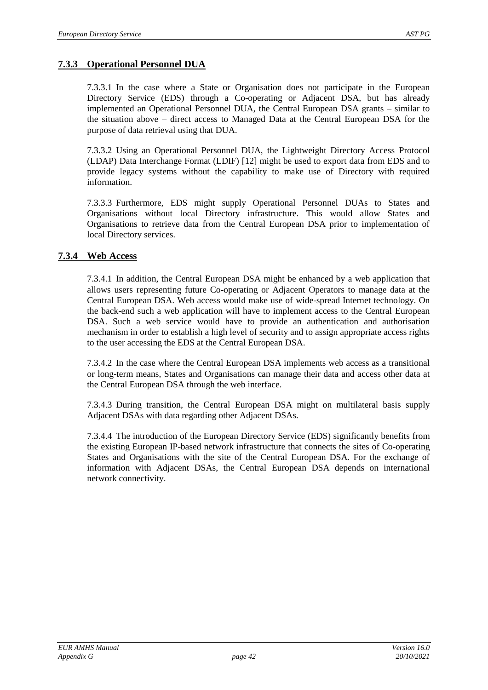#### <span id="page-41-0"></span>**7.3.3 Operational Personnel DUA**

7.3.3.1 In the case where a State or Organisation does not participate in the European Directory Service (EDS) through a Co-operating or Adjacent DSA, but has already implemented an Operational Personnel DUA, the Central European DSA grants – similar to the situation above – direct access to Managed Data at the Central European DSA for the purpose of data retrieval using that DUA.

7.3.3.2 Using an Operational Personnel DUA, the Lightweight Directory Access Protocol (LDAP) Data Interchange Format (LDIF) [\[12\]](#page-5-12) might be used to export data from EDS and to provide legacy systems without the capability to make use of Directory with required information.

7.3.3.3 Furthermore, EDS might supply Operational Personnel DUAs to States and Organisations without local Directory infrastructure. This would allow States and Organisations to retrieve data from the Central European DSA prior to implementation of local Directory services.

#### <span id="page-41-1"></span>**7.3.4 Web Access**

7.3.4.1 In addition, the Central European DSA might be enhanced by a web application that allows users representing future Co-operating or Adjacent Operators to manage data at the Central European DSA. Web access would make use of wide-spread Internet technology. On the back-end such a web application will have to implement access to the Central European DSA. Such a web service would have to provide an authentication and authorisation mechanism in order to establish a high level of security and to assign appropriate access rights to the user accessing the EDS at the Central European DSA.

7.3.4.2 In the case where the Central European DSA implements web access as a transitional or long-term means, States and Organisations can manage their data and access other data at the Central European DSA through the web interface.

7.3.4.3 During transition, the Central European DSA might on multilateral basis supply Adjacent DSAs with data regarding other Adjacent DSAs.

7.3.4.4 The introduction of the European Directory Service (EDS) significantly benefits from the existing European IP-based network infrastructure that connects the sites of Co-operating States and Organisations with the site of the Central European DSA. For the exchange of information with Adjacent DSAs, the Central European DSA depends on international network connectivity.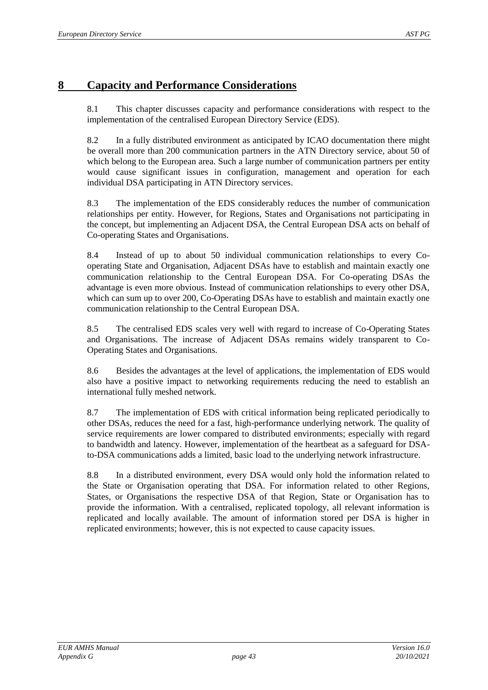## <span id="page-42-0"></span>**8 Capacity and Performance Considerations**

8.1 This chapter discusses capacity and performance considerations with respect to the implementation of the centralised European Directory Service (EDS).

8.2 In a fully distributed environment as anticipated by ICAO documentation there might be overall more than 200 communication partners in the ATN Directory service, about 50 of which belong to the European area. Such a large number of communication partners per entity would cause significant issues in configuration, management and operation for each individual DSA participating in ATN Directory services.

8.3 The implementation of the EDS considerably reduces the number of communication relationships per entity. However, for Regions, States and Organisations not participating in the concept, but implementing an Adjacent DSA, the Central European DSA acts on behalf of Co-operating States and Organisations.

8.4 Instead of up to about 50 individual communication relationships to every Cooperating State and Organisation, Adjacent DSAs have to establish and maintain exactly one communication relationship to the Central European DSA. For Co-operating DSAs the advantage is even more obvious. Instead of communication relationships to every other DSA, which can sum up to over 200, Co-Operating DSAs have to establish and maintain exactly one communication relationship to the Central European DSA.

8.5 The centralised EDS scales very well with regard to increase of Co-Operating States and Organisations. The increase of Adjacent DSAs remains widely transparent to Co-Operating States and Organisations.

8.6 Besides the advantages at the level of applications, the implementation of EDS would also have a positive impact to networking requirements reducing the need to establish an international fully meshed network.

8.7 The implementation of EDS with critical information being replicated periodically to other DSAs, reduces the need for a fast, high-performance underlying network. The quality of service requirements are lower compared to distributed environments; especially with regard to bandwidth and latency. However, implementation of the heartbeat as a safeguard for DSAto-DSA communications adds a limited, basic load to the underlying network infrastructure.

8.8 In a distributed environment, every DSA would only hold the information related to the State or Organisation operating that DSA. For information related to other Regions, States, or Organisations the respective DSA of that Region, State or Organisation has to provide the information. With a centralised, replicated topology, all relevant information is replicated and locally available. The amount of information stored per DSA is higher in replicated environments; however, this is not expected to cause capacity issues.